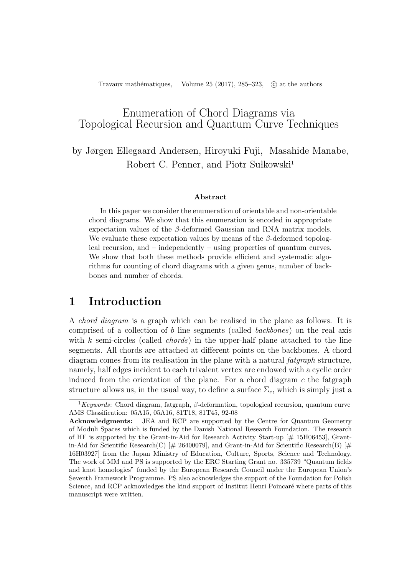Travaux mathématiques, Volume 25 (2017), 285–323, *C* at the authors

## Enumeration of Chord Diagrams via Topological Recursion and Quantum Curve Techniques

by Jørgen Ellegaard Andersen, Hiroyuki Fuji, Masahide Manabe, Robert C. Penner, and Piotr Sułkowski<sup>1</sup>

#### **Abstract**

In this paper we consider the enumeration of orientable and non-orientable chord diagrams. We show that this enumeration is encoded in appropriate expectation values of the *β*-deformed Gaussian and RNA matrix models. We evaluate these expectation values by means of the *β*-deformed topological recursion, and – independently – using properties of quantum curves. We show that both these methods provide efficient and systematic algorithms for counting of chord diagrams with a given genus, number of backbones and number of chords.

## **1 Introduction**

A *chord diagram* is a graph which can be realised in the plane as follows. It is comprised of a collection of *b* line segments (called *backbones*) on the real axis with *k* semi-circles (called *chords*) in the upper-half plane attached to the line segments. All chords are attached at different points on the backbones. A chord diagram comes from its realisation in the plane with a natural *fatgraph* structure, namely, half edges incident to each trivalent vertex are endowed with a cyclic order induced from the orientation of the plane. For a chord diagram *c* the fatgraph structure allows us, in the usual way, to define a surface  $\Sigma_c$ , which is simply just a

<sup>1</sup>*Keywords*: Chord diagram, fatgraph, *β*-deformation, topological recursion, quantum curve AMS Classification: 05A15, 05A16, 81T18, 81T45, 92-08

**Acknowledgments:** JEA and RCP are supported by the Centre for Quantum Geometry of Moduli Spaces which is funded by the Danish National Research Foundation. The research of HF is supported by the Grant-in-Aid for Research Activity Start-up  $[\# 15H06453]$ , Grantin-Aid for Scientific Research(C)  $[\# 26400079]$ , and Grant-in-Aid for Scientific Research(B)  $[\#$ 16H03927] from the Japan Ministry of Education, Culture, Sports, Science and Technology. The work of MM and PS is supported by the ERC Starting Grant no. 335739 "Quantum fields and knot homologies" funded by the European Research Council under the European Union's Seventh Framework Programme. PS also acknowledges the support of the Foundation for Polish Science, and RCP acknowledges the kind support of Institut Henri Poincaré where parts of this manuscript were written.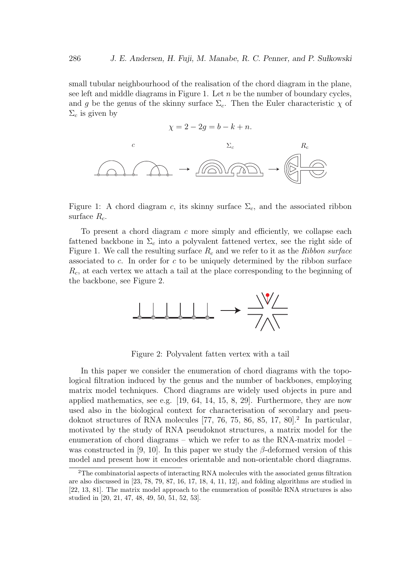small tubular neighbourhood of the realisation of the chord diagram in the plane, see left and middle diagrams in Figure 1. Let *n* be the number of boundary cycles, and *g* be the genus of the skinny surface  $\Sigma_c$ . Then the Euler characteristic  $\chi$  of  $\Sigma_c$  is given by

$$
\chi = 2 - 2g = b - k + n.
$$



Figure 1: A chord diagram *c*, its skinny surface  $\Sigma_c$ , and the associated ribbon surface *Rc*.

To present a chord diagram *c* more simply and efficiently, we collapse each fattened backbone in Σ*<sup>c</sup>* into a polyvalent fattened vertex, see the right side of Figure 1. We call the resulting surface *R<sup>c</sup>* and we refer to it as the *Ribbon surface* associated to *c*. In order for *c* to be uniquely determined by the ribbon surface *Rc*, at each vertex we attach a tail at the place corresponding to the beginning of the backbone, see Figure 2.



Figure 2: Polyvalent fatten vertex with a tail

In this paper we consider the enumeration of chord diagrams with the topological filtration induced by the genus and the number of backbones, employing matrix model techniques. Chord diagrams are widely used objects in pure and applied mathematics, see e.g.  $[19, 64, 14, 15, 8, 29]$ . Furthermore, they are now used also in the biological context for characterisation of secondary and pseudoknot structures of RNA molecules  $[77, 76, 75, 86, 85, 17, 80]$ .<sup>2</sup> In particular, motivated by the study of RNA pseudoknot structures, a matrix model for the enumeration of chord diagrams – which we refer to as the RNA-matrix model – was constructed in [9, 10]. In this paper we study the *β*-deformed version of this model and present how it encodes orientable and non-orientable chord diagrams.

<sup>2</sup>The combinatorial aspects of interacting RNA molecules with the associated genus filtration are also discussed in [23, 78, 79, 87, 16, 17, 18, 4, 11, 12], and folding algorithms are studied in [22, 13, 81]. The matrix model approach to the enumeration of possible RNA structures is also studied in [20, 21, 47, 48, 49, 50, 51, 52, 53].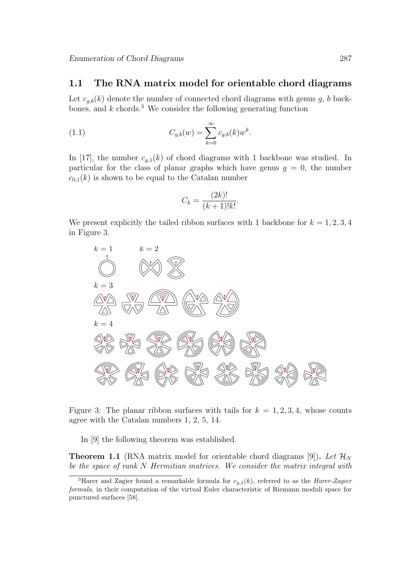#### **1.1 The RNA matrix model for orientable chord diagrams**

Let  $c_{g,b}(k)$  denote the number of connected chord diagrams with genus  $g, b$  backbones, and  $k$  chords.<sup>3</sup> We consider the following generating function

(1.1) 
$$
C_{g,b}(w) = \sum_{k=0}^{\infty} c_{g,b}(k) w^k.
$$

In [17], the number  $c_{g,1}(k)$  of chord diagrams with 1 backbone was studied. In particular for the class of planar graphs which have genus  $g = 0$ , the number  $c_{0,1}(k)$  is shown to be equal to the Catalan number

$$
C_k = \frac{(2k)!}{(k+1)!k!}.
$$

We present explicitly the tailed ribbon surfaces with 1 backbone for  $k = 1, 2, 3, 4$ in Figure 3.



Figure 3: The planar ribbon surfaces with tails for  $k = 1, 2, 3, 4$ , whose counts agree with the Catalan numbers 1, 2, 5, 14.

In [9] the following theorem was established.

**Theorem 1.1** (RNA matrix model for orientable chord diagrams [9]). Let  $\mathcal{H}_N$ *be the space of rank N Hermitian matrices. We consider the matrix integral with*

<sup>3</sup>Harer and Zagier found a remarkable formula for *cg,*1(*k*), referred to as the *Harer-Zagier formula*, in their computation of the virtual Euler characteristic of Riemann moduli space for punctured surfaces [58].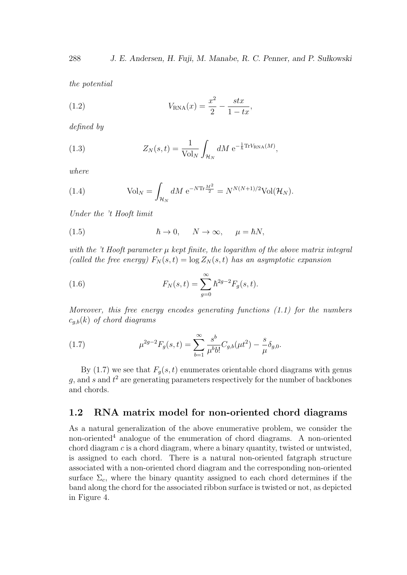*the potential*

(1.2) 
$$
V_{\text{RNA}}(x) = \frac{x^2}{2} - \frac{stx}{1 - tx},
$$

*defined by*

(1.3) 
$$
Z_N(s,t) = \frac{1}{\text{Vol}_N} \int_{\mathcal{H}_N} dM \, \mathrm{e}^{-\frac{1}{\hbar} \text{Tr} V_{\text{RNA}}(M)},
$$

*where*

(1.4) 
$$
\text{Vol}_N = \int_{\mathcal{H}_N} dM \, \, \mathrm{e}^{-N \text{Tr} \frac{M^2}{2}} = N^{N(N+1)/2} \text{Vol}(\mathcal{H}_N).
$$

*Under the 't Hooft limit*

(1.5) 
$$
\hbar \to 0, \quad N \to \infty, \quad \mu = \hbar N,
$$

*with the 't Hooft parameter µ kept finite, the logarithm of the above matrix integral (called the free energy)*  $F_N(s,t) = \log Z_N(s,t)$  *has an asymptotic expansion* 

(1.6) 
$$
F_N(s,t) = \sum_{g=0}^{\infty} \hbar^{2g-2} F_g(s,t).
$$

*Moreover, this free energy encodes generating functions (1.1) for the numbers cg,b*(*k*) *of chord diagrams*

(1.7) 
$$
\mu^{2g-2} F_g(s,t) = \sum_{b=1}^{\infty} \frac{s^b}{\mu^b b!} C_{g,b}(\mu t^2) - \frac{s}{\mu} \delta_{g,0}.
$$

By (1.7) we see that  $F_q(s,t)$  enumerates orientable chord diagrams with genus *g*, and *s* and *t* <sup>2</sup> are generating parameters respectively for the number of backbones and chords.

#### **1.2 RNA matrix model for non-oriented chord diagrams**

As a natural generalization of the above enumerative problem, we consider the non-oriented<sup>4</sup> analogue of the enumeration of chord diagrams. A non-oriented chord diagram *c* is a chord diagram, where a binary quantity, twisted or untwisted, is assigned to each chord. There is a natural non-oriented fatgraph structure associated with a non-oriented chord diagram and the corresponding non-oriented surface  $\Sigma_c$ , where the binary quantity assigned to each chord determines if the band along the chord for the associated ribbon surface is twisted or not, as depicted in Figure 4.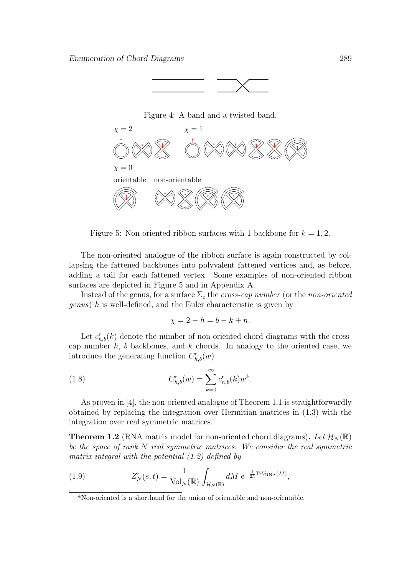





Figure 5: Non-oriented ribbon surfaces with 1 backbone for  $k = 1, 2$ .

The non-oriented analogue of the ribbon surface is again constructed by collapsing the fattened backbones into polyvalent fattened vertices and, as before, adding a tail for each fattened vertex. Some examples of non-oriented ribbon surfaces are depicted in Figure 5 and in Appendix A.

Instead of the genus, for a surface  $\Sigma_c$  the *cross-cap number* (or the *non-oriented genus*) *h* is well-defined, and the Euler characteristic is given by

$$
\chi = 2 - h = b - k + n.
$$

Let  $c_{h,b}^r(k)$  denote the number of non-oriented chord diagrams with the crosscap number *h*, *b* backbones, and *k* chords. In analogy to the oriented case, we introduce the generating function  $C^{\mathsf{r}}_{h,b}(w)$ 

(1.8) 
$$
C_{h,b}^{r}(w) = \sum_{k=0}^{\infty} c_{h,b}^{r}(k) w^{k}.
$$

As proven in [4], the non-oriented analogue of Theorem 1.1 is straightforwardly obtained by replacing the integration over Hermitian matrices in (1.3) with the integration over real symmetric matrices.

**Theorem 1.2** (RNA matrix model for non-oriented chord diagrams). Let  $\mathcal{H}_N(\mathbb{R})$ *be the space of rank N real symmetric matrices. We consider the real symmetric matrix integral with the potential (1.2) defined by*

(1.9) 
$$
Z_N^{\mathsf{r}}(s,t) = \frac{1}{\text{Vol}_N(\mathbb{R})} \int_{\mathcal{H}_N(\mathbb{R})} dM \,\mathrm{e}^{-\frac{1}{2\hbar} \text{Tr} V_{\text{RNA}}(M)},
$$

<sup>4</sup>Non-oriented is a shorthand for the union of orientable and non-orientable.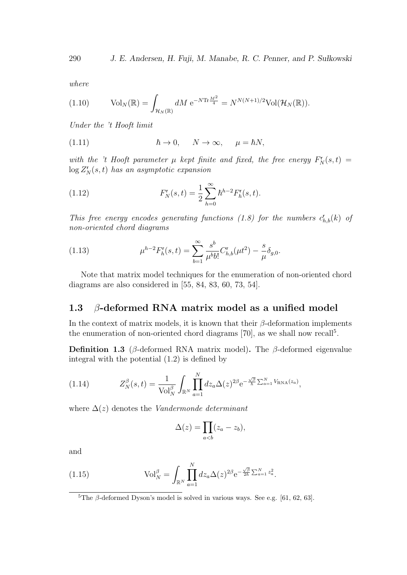*where*

(1.10) 
$$
\text{Vol}_N(\mathbb{R}) = \int_{\mathcal{H}_N(\mathbb{R})} dM \,\mathrm{e}^{-N \text{Tr} \frac{M^2}{4}} = N^{N(N+1)/2} \text{Vol}(\mathcal{H}_N(\mathbb{R})).
$$

*Under the 't Hooft limit*

(1.11) 
$$
\hbar \to 0, \quad N \to \infty, \quad \mu = \hbar N,
$$

*with the 't Hooft parameter*  $\mu$  *kept finite and fixed, the free energy*  $F_N^r(s,t)$  =  $\log Z_N^{\mathsf{r}}(s,t)$  *has an asymptotic expansion* 

(1.12) 
$$
F_N^r(s,t) = \frac{1}{2} \sum_{h=0}^{\infty} \hbar^{h-2} F_h^r(s,t).
$$

*This free energy encodes generating functions (1.8) for the numbers*  $c_{h,b}^{\mathsf{r}}(k)$  of *non-oriented chord diagrams*

(1.13) 
$$
\mu^{h-2} F_h^r(s,t) = \sum_{b=1}^{\infty} \frac{s^b}{\mu^b b!} C_{h,b}^r(\mu t^2) - \frac{s}{\mu} \delta_{g,0}.
$$

Note that matrix model techniques for the enumeration of non-oriented chord diagrams are also considered in [55, 84, 83, 60, 73, 54].

#### **1.3** *β***-deformed RNA matrix model as a unified model**

In the context of matrix models, it is known that their *β*-deformation implements the enumeration of non-oriented chord diagrams  $[70]$ , as we shall now recall<sup>5</sup>.

**Definition 1.3** (*β*-deformed RNA matrix model)**.** The *β*-deformed eigenvalue integral with the potential (1.2) is defined by

(1.14) 
$$
Z_N^{\beta}(s,t) = \frac{1}{\text{Vol}_N^{\beta}} \int_{\mathbb{R}^N} \prod_{a=1}^N dz_a \Delta(z)^{2\beta} e^{-\frac{\sqrt{\beta}}{\hbar} \sum_{a=1}^N V_{\text{RNA}}(z_a)},
$$

where  $\Delta(z)$  denotes the *Vandermonde determinant* 

$$
\Delta(z) = \prod_{a
$$

and

(1.15) 
$$
\text{Vol}_N^{\beta} = \int_{\mathbb{R}^N} \prod_{a=1}^N dz_a \Delta(z)^{2\beta} e^{-\frac{\sqrt{\beta}}{2\hbar} \sum_{a=1}^N z_a^2}.
$$

<sup>&</sup>lt;sup>5</sup>The  $\beta$ -deformed Dyson's model is solved in various ways. See e.g. [61, 62, 63].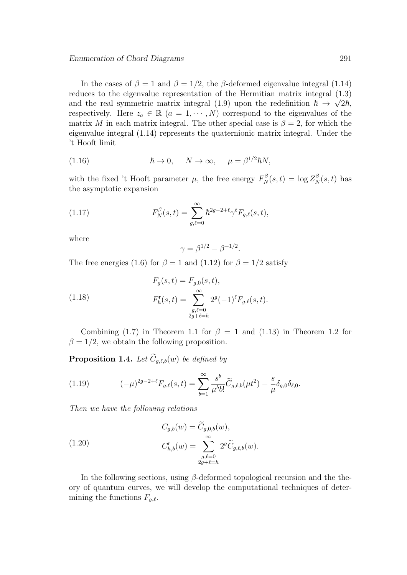In the cases of  $\beta = 1$  and  $\beta = 1/2$ , the  $\beta$ -deformed eigenvalue integral (1.14) reduces to the eigenvalue representation of the Hermitian matrix integral (1.3) *√* and the real symmetric matrix integral (1.9) upon the redefinition  $\hbar \to \sqrt{2\hbar}$ , respectively. Here  $z_a \in \mathbb{R}$   $(a = 1, \dots, N)$  correspond to the eigenvalues of the matrix *M* in each matrix integral. The other special case is  $\beta = 2$ , for which the eigenvalue integral (1.14) represents the quaternionic matrix integral. Under the 't Hooft limit

(1.16) 
$$
\hbar \to 0, \quad N \to \infty, \quad \mu = \beta^{1/2} \hbar N,
$$

with the fixed 't Hooft parameter  $\mu$ , the free energy  $F_N^{\beta}(s,t) = \log Z_N^{\beta}(s,t)$  has the asymptotic expansion

(1.17) 
$$
F_N^{\beta}(s,t) = \sum_{g,\ell=0}^{\infty} \hbar^{2g-2+\ell} \gamma^{\ell} F_{g,\ell}(s,t),
$$

where

$$
\gamma = \beta^{1/2} - \beta^{-1/2}.
$$

The free energies (1.6) for  $\beta = 1$  and (1.12) for  $\beta = 1/2$  satisfy

(1.18) 
$$
F_g(s,t) = F_{g,0}(s,t),
$$

$$
F_h^r(s,t) = \sum_{\substack{g,\ell=0 \ 2g+\ell=h}}^{\infty} 2^g(-1)^{\ell} F_{g,\ell}(s,t).
$$

Combining (1.7) in Theorem 1.1 for  $\beta = 1$  and (1.13) in Theorem 1.2 for  $\beta = 1/2$ , we obtain the following proposition.

**Proposition 1.4.** *Let*  $\widetilde{C}_{g,\ell,b}(w)$  *be defined by* 

(1.19) 
$$
(-\mu)^{2g-2+\ell} F_{g,\ell}(s,t) = \sum_{b=1}^{\infty} \frac{s^b}{\mu^b b!} \widetilde{C}_{g,\ell,b}(\mu t^2) - \frac{s}{\mu} \delta_{g,0} \delta_{\ell,0}.
$$

*Then we have the following relations*

(1.20) 
$$
C_{g,b}(w) = \widetilde{C}_{g,0,b}(w), C_{h,b}^{r}(w) = \sum_{\substack{g,\ell=0 \ 2g+\ell=h}}^{\infty} 2^{g} \widetilde{C}_{g,\ell,b}(w).
$$

In the following sections, using *β*-deformed topological recursion and the theory of quantum curves, we will develop the computational techniques of determining the functions  $F_{q,\ell}$ .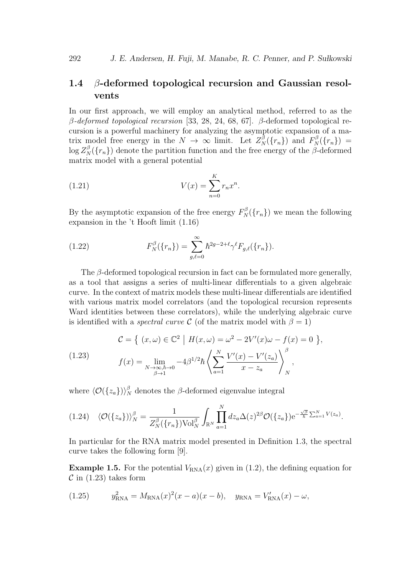## **1.4** *β***-deformed topological recursion and Gaussian resolvents**

In our first approach, we will employ an analytical method, referred to as the *β-deformed topological recursion* [33, 28, 24, 68, 67]. *β*-deformed topological recursion is a powerful machinery for analyzing the asymptotic expansion of a matrix model free energy in the  $N \to \infty$  limit. Let  $Z_N^{\beta}(\lbrace r_n \rbrace)$  and  $F_N^{\beta}(\lbrace r_n \rbrace)$  $\log Z_N^{\beta}(\lbrace r_n \rbrace)$  denote the partition function and the free energy of the *β*-deformed matrix model with a general potential

(1.21) 
$$
V(x) = \sum_{n=0}^{K} r_n x^n.
$$

By the asymptotic expansion of the free energy  $F_N^{\beta}(\lbrace r_n \rbrace)$  we mean the following expansion in the 't Hooft limit (1.16)

(1.22) 
$$
F_N^{\beta}(\{r_n\}) = \sum_{g,\ell=0}^{\infty} \hbar^{2g-2+\ell} \gamma^{\ell} F_{g,\ell}(\{r_n\}).
$$

The *β*-deformed topological recursion in fact can be formulated more generally, as a tool that assigns a series of multi-linear differentials to a given algebraic curve. In the context of matrix models these multi-linear differentials are identified with various matrix model correlators (and the topological recursion represents Ward identities between these correlators), while the underlying algebraic curve is identified with a *spectral curve*  $\mathcal C$  (of the matrix model with  $\beta = 1$ )

(1.23) 
$$
\mathcal{C} = \left\{ (x, \omega) \in \mathbb{C}^2 \middle| H(x, \omega) = \omega^2 - 2V'(x)\omega - f(x) = 0 \right\},
$$

$$
f(x) = \lim_{\substack{N \to \infty, \hbar \to 0 \\ \beta \to 1}} -4\beta^{1/2}\hbar \left\{ \sum_{a=1}^N \frac{V'(x) - V'(z_a)}{x - z_a} \right\}_N^{\beta},
$$

where  $\langle O({z_a}) \rangle_N^{\beta}$  denotes the  $\beta$ -deformed eigenvalue integral

$$
(1.24) \quad \langle \mathcal{O}(\{z_a\}) \rangle_N^{\beta} = \frac{1}{Z_N^{\beta}(\{r_n\}) \text{Vol}_N^{\beta}} \int_{\mathbb{R}^N} \prod_{a=1}^N dz_a \Delta(z)^{2\beta} \mathcal{O}(\{z_a\}) e^{-\frac{\sqrt{\beta}}{\hbar} \sum_{a=1}^N V(z_a)}.
$$

In particular for the RNA matrix model presented in Definition 1.3, the spectral curve takes the following form [9].

**Example 1.5.** For the potential  $V_{\text{RNA}}(x)$  given in (1.2), the defining equation for  $\mathcal{C}$  in (1.23) takes form

(1.25) 
$$
y_{\text{RNA}}^2 = M_{\text{RNA}}(x)^2(x-a)(x-b), \quad y_{\text{RNA}} = V_{\text{RNA}}'(x) - \omega,
$$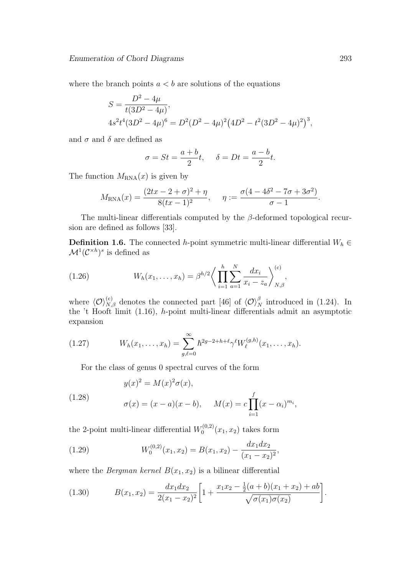where the branch points  $a < b$  are solutions of the equations

$$
S = \frac{D^2 - 4\mu}{t(3D^2 - 4\mu)},
$$
  
\n
$$
4s^2t^4(3D^2 - 4\mu)^6 = D^2(D^2 - 4\mu)^2(4D^2 - t^2(3D^2 - 4\mu)^2)^3,
$$

and  $\sigma$  and  $\delta$  are defined as

$$
\sigma = St = \frac{a+b}{2}t, \quad \delta = Dt = \frac{a-b}{2}t.
$$

The function  $M_{\text{RNA}}(x)$  is given by

$$
M_{\rm RNA}(x) = \frac{(2tx - 2 + \sigma)^2 + \eta}{8(tx - 1)^2}, \quad \eta := \frac{\sigma(4 - 4\delta^2 - 7\sigma + 3\sigma^2)}{\sigma - 1}.
$$

The multi-linear differentials computed by the *β*-deformed topological recursion are defined as follows [33].

**Definition 1.6.** The connected *h*-point symmetric multi-linear differential  $W_h \in$  $\mathcal{M}^1(\mathcal{C}^{\times h})^s$  is defined as

(1.26) 
$$
W_h(x_1,\ldots,x_h) = \beta^{h/2} \bigg\langle \prod_{i=1}^h \sum_{a=1}^N \frac{dx_i}{x_i - z_a} \bigg\rangle_{N,\beta}^{(c)},
$$

where  $\langle \mathcal{O} \rangle_{N,\beta}^{(c)}$  denotes the connected part [46] of  $\langle \mathcal{O} \rangle_N^{\beta}$  introduced in (1.24). In the 't Hooft limit (1.16), *h*-point multi-linear differentials admit an asymptotic expansion

(1.27) 
$$
W_h(x_1,\ldots,x_h) = \sum_{g,\ell=0}^{\infty} \hbar^{2g-2+h+\ell} \gamma^{\ell} W_{\ell}^{(g,h)}(x_1,\ldots,x_h).
$$

For the class of genus 0 spectral curves of the form

(1.28) 
$$
y(x)^{2} = M(x)^{2} \sigma(x),
$$

$$
\sigma(x) = (x - a)(x - b), \quad M(x) = c \prod_{i=1}^{f} (x - \alpha_{i})^{m_{i}},
$$

the 2-point multi-linear differential  $W_0^{(0,2)}$  $\int_{0}^{(0,2)} (x_1, x_2)$  takes form

(1.29) 
$$
W_0^{(0,2)}(x_1,x_2) = B(x_1,x_2) - \frac{dx_1 dx_2}{(x_1 - x_2)^2},
$$

where the *Bergman kernel*  $B(x_1, x_2)$  is a bilinear differential

(1.30) 
$$
B(x_1, x_2) = \frac{dx_1 dx_2}{2(x_1 - x_2)^2} \left[ 1 + \frac{x_1 x_2 - \frac{1}{2}(a+b)(x_1 + x_2) + ab}{\sqrt{\sigma(x_1)\sigma(x_2)}} \right].
$$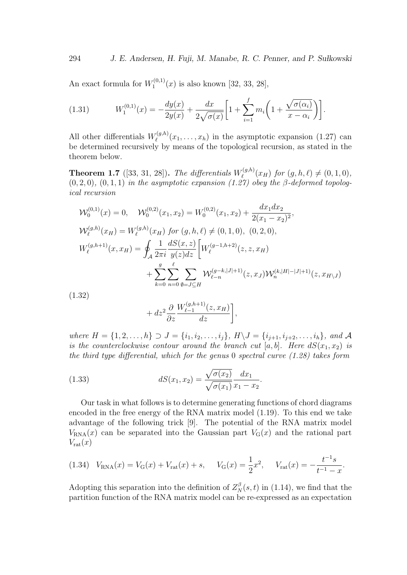An exact formula for  $W_1^{(0,1)}$  $I_1^{(0,1)}(x)$  is also known [32, 33, 28],

(1.31) 
$$
W_1^{(0,1)}(x) = -\frac{dy(x)}{2y(x)} + \frac{dx}{2\sqrt{\sigma(x)}} \left[ 1 + \sum_{i=1}^f m_i \left( 1 + \frac{\sqrt{\sigma(\alpha_i)}}{x - \alpha_i} \right) \right].
$$

All other differentials  $W_{\ell}^{(g,h)}$  $\ell^{(g,n)}(x_1,\ldots,x_h)$  in the asymptotic expansion  $(1.27)$  can be determined recursively by means of the topological recursion, as stated in the theorem below.

**Theorem 1.7** ([33, 31, 28]). *The differentials*  $W_{\ell}^{(g,h)}$  $\int_{\ell}^{(g,n)}(x_H)$  for  $(g,h,\ell) \neq (0,1,0)$ ,  $(0, 2, 0)$ ,  $(0, 1, 1)$  *in the asymptotic expansion*  $(1.27)$  *obey the*  $\beta$ -*deformed topological recursion*

$$
\mathcal{W}_0^{(0,1)}(x) = 0, \quad \mathcal{W}_0^{(0,2)}(x_1, x_2) = W_0^{(0,2)}(x_1, x_2) + \frac{dx_1 dx_2}{2(x_1 - x_2)^2},
$$
\n
$$
\mathcal{W}_\ell^{(g,h)}(x_H) = W_\ell^{(g,h)}(x_H) \text{ for } (g, h, \ell) \neq (0, 1, 0), (0, 2, 0),
$$
\n
$$
W_\ell^{(g,h+1)}(x, x_H) = \oint_A \frac{1}{2\pi i} \frac{dS(x, z)}{y(z)dz} \left[ W_\ell^{(g-1, h+2)}(z, z, x_H) + \sum_{k=0}^g \sum_{n=0}^\ell \sum_{\emptyset=j\subseteq H} \mathcal{W}_{\ell-n}^{(g-k, |J|+1)}(z, x_J) \mathcal{W}_n^{(k, |H|-|J|+1)}(z, x_{H\setminus J}) \right]
$$
\n(1.32)

$$
+ dz^2 \frac{\partial}{\partial z} \frac{W_{\ell-1}^{(g,h+1)}(z, x_H)}{dz} \bigg],
$$

where  $H = \{1, 2, ..., h\} \supset J = \{i_1, i_2, ..., i_j\}, H \setminus J = \{i_{j+1}, i_{j+2}, ..., i_h\},$  and A *is the counterclockwise contour around the branch cut* [a, b]. Here  $dS(x_1, x_2)$  *is the third type differential, which for the genus* 0 *spectral curve (1.28) takes form*

(1.33) 
$$
dS(x_1, x_2) = \frac{\sqrt{\sigma(x_2)}}{\sqrt{\sigma(x_1)}} \frac{dx_1}{x_1 - x_2}.
$$

Our task in what follows is to determine generating functions of chord diagrams encoded in the free energy of the RNA matrix model (1.19). To this end we take advantage of the following trick [9]. The potential of the RNA matrix model  $V_{\text{RNA}}(x)$  can be separated into the Gaussian part  $V_{\text{G}}(x)$  and the rational part  $V_{\text{rat}}(x)$ 

$$
(1.34) \quad V_{\text{RNA}}(x) = V_{\text{G}}(x) + V_{\text{rat}}(x) + s, \quad V_{\text{G}}(x) = \frac{1}{2}x^2, \quad V_{\text{rat}}(x) = -\frac{t^{-1}s}{t^{-1} - x}.
$$

Adopting this separation into the definition of  $Z_N^{\beta}(s,t)$  in (1.14), we find that the partition function of the RNA matrix model can be re-expressed as an expectation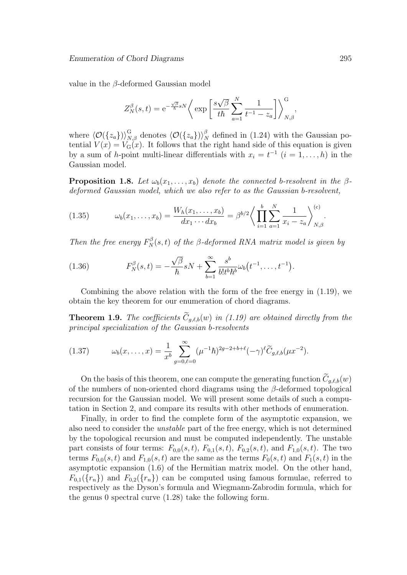value in the *β*-deformed Gaussian model

$$
Z_N^{\beta}(s,t) = e^{-\frac{\sqrt{\beta}}{\hbar}sN} \bigg\langle \exp\bigg[\frac{s\sqrt{\beta}}{t\hbar}\sum_{a=1}^N \frac{1}{t^{-1} - z_a}\bigg] \bigg\rangle_{N,\beta}^G,
$$

where  $\langle \mathcal{O}(\{z_a\}) \rangle_{N,\beta}^{\text{G}}$  denotes  $\langle \mathcal{O}(\{z_a\}) \rangle_{N}^{\beta}$  $N<sub>N</sub>$  defined in (1.24) with the Gaussian potential  $V(x) = V_G(x)$ . It follows that the right hand side of this equation is given by a sum of *h*-point multi-linear differentials with  $x_i = t^{-1}$   $(i = 1, \ldots, h)$  in the Gaussian model.

**Proposition 1.8.** *Let*  $\omega_b(x_1, \ldots, x_b)$  *denote the connected b-resolvent in the*  $\beta$ *deformed Gaussian model, which we also refer to as the Gaussian b-resolvent,*

(1.35) 
$$
\omega_b(x_1,\ldots,x_b) = \frac{W_h(x_1,\ldots,x_b)}{dx_1\cdots dx_b} = \beta^{b/2} \bigg\langle \prod_{i=1}^b \sum_{a=1}^N \frac{1}{x_i - z_a} \bigg\rangle_{N,\beta}^{(c)}.
$$

*Then the free energy*  $F_N^{\beta}(s,t)$  *of the*  $\beta$ -deformed RNA matrix model is given by

(1.36) 
$$
F_N^{\beta}(s,t) = -\frac{\sqrt{\beta}}{\hbar} sN + \sum_{b=1}^{\infty} \frac{s^b}{b! t^b \hbar^b} \omega_b(t^{-1}, \dots, t^{-1}).
$$

Combining the above relation with the form of the free energy in (1.19), we obtain the key theorem for our enumeration of chord diagrams.

**Theorem 1.9.** *The coefficients*  $\widetilde{C}_{q,\ell,b}(w)$  *in (1.19) are obtained directly from the principal specialization of the Gaussian b-resolvents*

(1.37) 
$$
\omega_b(x,\ldots,x) = \frac{1}{x^b} \sum_{g=0,\ell=0}^{\infty} (\mu^{-1}\hbar)^{2g-2+b+\ell} (-\gamma)^{\ell} \widetilde{C}_{g,\ell,b}(\mu x^{-2}).
$$

On the basis of this theorem, one can compute the generating function  $\widetilde{C}_{a,\ell,b}(w)$ of the numbers of non-oriented chord diagrams using the *β*-deformed topological recursion for the Gaussian model. We will present some details of such a computation in Section 2, and compare its results with other methods of enumeration.

Finally, in order to find the complete form of the asymptotic expansion, we also need to consider the *unstable* part of the free energy, which is not determined by the topological recursion and must be computed independently. The unstable part consists of four terms:  $F_{0,0}(s,t)$ ,  $F_{0,1}(s,t)$ ,  $F_{0,2}(s,t)$ , and  $F_{1,0}(s,t)$ . The two terms  $F_{0,0}(s,t)$  and  $F_{1,0}(s,t)$  are the same as the terms  $F_0(s,t)$  and  $F_1(s,t)$  in the asymptotic expansion (1.6) of the Hermitian matrix model. On the other hand,  $F_{0,1}(\{r_n\})$  and  $F_{0,2}(\{r_n\})$  can be computed using famous formulae, referred to respectively as the Dyson's formula and Wiegmann-Zabrodin formula, which for the genus 0 spectral curve (1.28) take the following form.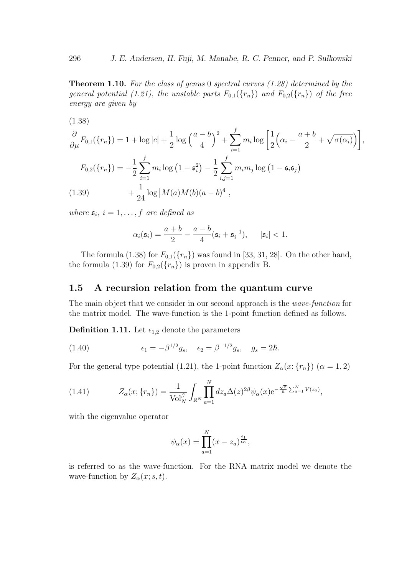**Theorem 1.10.** *For the class of genus* 0 *spectral curves (1.28) determined by the general potential (1.21), the unstable parts*  $F_{0,1}(\lbrace r_n \rbrace)$  *and*  $F_{0,2}(\lbrace r_n \rbrace)$  *of the free energy are given by*

(1.38)  
\n
$$
\frac{\partial}{\partial \mu} F_{0,1}(\{r_n\}) = 1 + \log|c| + \frac{1}{2} \log \left(\frac{a-b}{4}\right)^2 + \sum_{i=1}^f m_i \log \left[\frac{1}{2} \left(\alpha_i - \frac{a+b}{2} + \sqrt{\sigma(\alpha_i)}\right)\right],
$$
\n
$$
F_{0,2}(\{r_n\}) = -\frac{1}{2} \sum_{i=1}^f m_i \log \left(1 - \mathfrak{s}_i^2\right) - \frac{1}{2} \sum_{i,j=1}^f m_i m_j \log \left(1 - \mathfrak{s}_i \mathfrak{s}_j\right)
$$
\n(1.39)  
\n
$$
+ \frac{1}{24} \log |M(a)M(b)(a-b)^4|,
$$

*where*  $\mathfrak{s}_i$ ,  $i = 1, \ldots, f$  *are defined as* 

$$
\alpha_i(\mathfrak{s}_i) = \frac{a+b}{2} - \frac{a-b}{4}(\mathfrak{s}_i + \mathfrak{s}_i^{-1}), \quad |\mathfrak{s}_i| < 1.
$$

The formula (1.38) for  $F_{0,1}(\{r_n\})$  was found in [33, 31, 28]. On the other hand, the formula (1.39) for  $F_{0,2}(\lbrace r_n \rbrace)$  is proven in appendix B.

### **1.5 A recursion relation from the quantum curve**

The main object that we consider in our second approach is the *wave-function* for the matrix model. The wave-function is the 1-point function defined as follows.

**Definition 1.11.** Let  $\epsilon_{1,2}$  denote the parameters

(1.40) 
$$
\epsilon_1 = -\beta^{1/2} g_s, \quad \epsilon_2 = \beta^{-1/2} g_s, \quad g_s = 2\hbar.
$$

For the general type potential (1.21), the 1-point function  $Z_{\alpha}(x; \{r_n\})$  ( $\alpha = 1, 2$ )

(1.41) 
$$
Z_{\alpha}(x; \{r_{n}\}) = \frac{1}{\text{Vol}_{N}^{\beta}} \int_{\mathbb{R}^{N}} \prod_{a=1}^{N} dz_{a} \Delta(z)^{2\beta} \psi_{\alpha}(x) e^{-\frac{\sqrt{\beta}}{\hbar} \sum_{a=1}^{N} V(z_{a})},
$$

with the eigenvalue operator

$$
\psi_{\alpha}(x) = \prod_{a=1}^{N} (x - z_a)^{\frac{\epsilon_1}{\epsilon_{\alpha}}},
$$

is referred to as the wave-function. For the RNA matrix model we denote the wave-function by  $Z_\alpha(x; s, t)$ .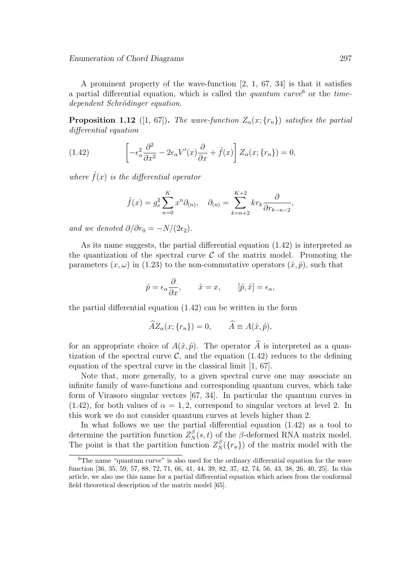A prominent property of the wave-function [2, 1, 67, 34] is that it satisfies a partial differential equation, which is called the *quantum curve*<sup>6</sup> or the *timedependent Schr¨odinger equation*.

**Proposition 1.12** ([1, 67]). The wave-function  $Z_{\alpha}(x; \{r_n\})$  satisfies the partial *differential equation*

(1.42) 
$$
\left[ -\epsilon_{\alpha}^{2} \frac{\partial^{2}}{\partial x^{2}} - 2\epsilon_{\alpha} V'(x) \frac{\partial}{\partial x} + \hat{f}(x) \right] Z_{\alpha}(x; \{r_{n}\}) = 0,
$$

*where*  $\hat{f}(x)$  *is the differential operator* 

$$
\hat{f}(x) = g_s^2 \sum_{n=0}^K x^n \partial_{(n)}, \quad \partial_{(n)} = \sum_{k=n+2}^{K+2} k r_k \frac{\partial}{\partial r_{k-n-2}},
$$

*and we denoted*  $\partial/\partial r_0 = -N/(2\epsilon_2)$ *.* 

As its name suggests, the partial differential equation (1.42) is interpreted as the quantization of the spectral curve  $\mathcal C$  of the matrix model. Promoting the parameters  $(x, \omega)$  in (1.23) to the non-commutative operators  $(\hat{x}, \hat{p})$ , such that

$$
\hat{p} = \epsilon_{\alpha} \frac{\partial}{\partial x}, \qquad \hat{x} = x, \qquad [\hat{p}, \hat{x}] = \epsilon_{\alpha},
$$

the partial differential equation (1.42) can be written in the form

$$
\widehat{A}Z_{\alpha}(x; \{r_n\}) = 0, \qquad \widehat{A} \equiv A(\hat{x}, \hat{p}),
$$

for an appropriate choice of  $A(\hat{x}, \hat{p})$ . The operator  $\hat{A}$  is interpreted as a quantization of the spectral curve  $\mathcal{C}$ , and the equation (1.42) reduces to the defining equation of the spectral curve in the classical limit [1, 67].

Note that, more generally, to a given spectral curve one may associate an infinite family of wave-functions and corresponding quantum curves, which take form of Virasoro singular vectors [67, 34]. In particular the quantum curves in  $(1.42)$ , for both values of  $\alpha = 1, 2$ , correspond to singular vectors at level 2. In this work we do not consider quantum curves at levels higher than 2.

In what follows we use the partial differential equation (1.42) as a tool to determine the partition function  $Z_N^{\beta}(s,t)$  of the *β*-deformed RNA matrix model. The point is that the partition function  $Z_N^{\beta}(\lbrace r_n \rbrace)$  of the matrix model with the

<sup>6</sup>The name "quantum curve" is also used for the ordinary differential equation for the wave function [36, 35, 59, 57, 88, 72, 71, 66, 41, 44, 39, 82, 37, 42, 74, 56, 43, 38, 26, 40, 25]. In this article, we also use this name for a partial differential equation which arises from the conformal field theoretical description of the matrix model [65].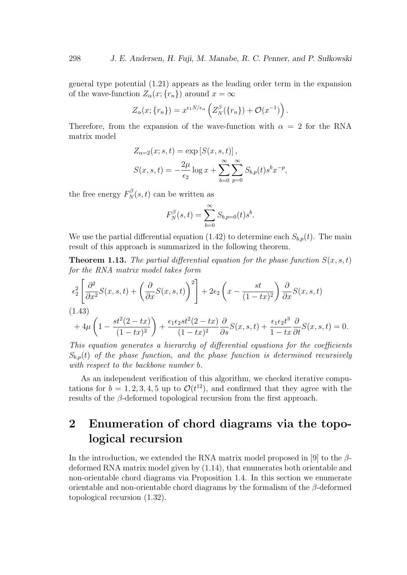general type potential (1.21) appears as the leading order term in the expansion of the wave-function  $Z_{\alpha}(x; \{r_n\})$  around  $x = \infty$ 

$$
Z_{\alpha}(x; \{r_n\}) = x^{\epsilon_1 N/\epsilon_{\alpha}} \left( Z_{N}^{\beta}(\{r_n\}) + \mathcal{O}(x^{-1}) \right).
$$

Therefore, from the expansion of the wave-function with  $\alpha = 2$  for the RNA matrix model

$$
Z_{\alpha=2}(x; s, t) = \exp [S(x, s, t)],
$$
  

$$
S(x, s, t) = -\frac{2\mu}{\epsilon_2} \log x + \sum_{b=0}^{\infty} \sum_{p=0}^{\infty} S_{b,p}(t) s^b x^{-p},
$$

the free energy  $F_N^{\beta}(s,t)$  can be written as

$$
F_N^{\beta}(s,t) = \sum_{b=0}^{\infty} S_{b,p=0}(t)s^b.
$$

We use the partial differential equation (1.42) to determine each  $S_{b,p}(t)$ . The main result of this approach is summarized in the following theorem.

**Theorem 1.13.** The partial differential equation for the phase function  $S(x, s, t)$ *for the RNA matrix model takes form*

$$
\epsilon_2^2 \left[ \frac{\partial^2}{\partial x^2} S(x, s, t) + \left( \frac{\partial}{\partial x} S(x, s, t) \right)^2 \right] + 2\epsilon_2 \left( x - \frac{st}{(1 - tx)^2} \right) \frac{\partial}{\partial x} S(x, s, t)
$$
\n
$$
(1.43)
$$
\n
$$
+ 4\mu \left( 1 - \frac{st^2(2 - tx)}{(1 - tx)^2} \right) + \frac{\epsilon_1 \epsilon_2 st^2(2 - tx)}{(1 - tx)^2} \frac{\partial}{\partial s} S(x, s, t) + \frac{\epsilon_1 \epsilon_2 t^3}{1 - tx} \frac{\partial}{\partial t} S(x, s, t) = 0.
$$

*This equation generates a hierarchy of differential equations for the coefficients*  $S_{b,p}(t)$  *of the phase function, and the phase function is determined recursively with respect to the backbone number b.*

As an independent verification of this algorithm, we checked iterative computations for  $b = 1, 2, 3, 4, 5$  up to  $\mathcal{O}(t^{12})$ , and confirmed that they agree with the results of the *β*-deformed topological recursion from the first approach.

# **2 Enumeration of chord diagrams via the topological recursion**

In the introduction, we extended the RNA matrix model proposed in [9] to the *β*deformed RNA matrix model given by (1.14), that enumerates both orientable and non-orientable chord diagrams via Proposition 1.4. In this section we enumerate orientable and non-orientable chord diagrams by the formalism of the *β*-deformed topological recursion (1.32).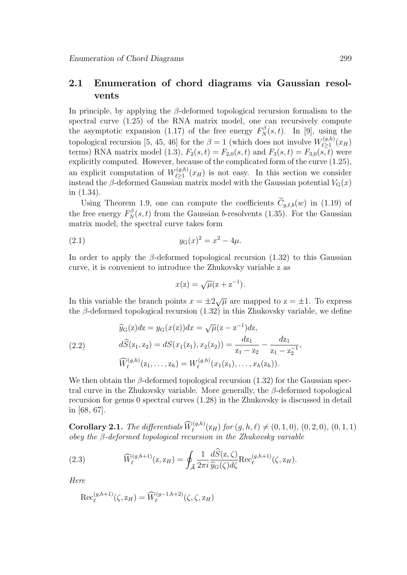## **2.1 Enumeration of chord diagrams via Gaussian resolvents**

In principle, by applying the *β*-deformed topological recursion formalism to the spectral curve (1.25) of the RNA matrix model, one can recursively compute the asymptotic expansion (1.17) of the free energy  $F_N^{\beta}(s,t)$ . In [9], using the topological recursion [5, 45, 46] for the  $\beta = 1$  (which does not involve  $W_{\ell > 1}^{(g,h)}$  $\ell \geq 1 \choose \ell \geq 1} (x_H)$ terms) RNA matrix model (1.3),  $F_2(s,t) = F_{2,0}(s,t)$  and  $F_3(s,t) = F_{3,0}(s,t)$  were explicitly computed. However, because of the complicated form of the curve (1.25), an explicit computation of  $W^{(g,h)}_{\ell>1}$  $\ell_{\geq 1}^{(g,n)}(x_H)$  is not easy. In this section we consider instead the *β*-deformed Gaussian matrix model with the Gaussian potential  $V_G(x)$ in (1.34).

Using Theorem 1.9, one can compute the coefficients  $\widetilde{C}_{g,\ell,b}(w)$  in (1.19) of the free energy  $F_N^{\beta}(s,t)$  from the Gaussian *b*-resolvents (1.35). For the Gaussian matrix model, the spectral curve takes form

(2.1) 
$$
y_{G}(x)^{2} = x^{2} - 4\mu.
$$

In order to apply the  $\beta$ -deformed topological recursion (1.32) to this Gaussian curve, it is convenient to introduce the Zhukovsky variable z as

$$
x(z) = \sqrt{\mu}(z + z^{-1}).
$$

In this variable the branch points  $x = \pm 2\sqrt{\mu}$  are mapped to  $z = \pm 1$ . To express the  $\beta$ -deformed topological recursion  $(1.32)$  in this Zhukovsky variable, we define

(2.2) 
$$
\widehat{y}_{G}(z)dz = y_{G}(x(z))dx = \sqrt{\mu}(z - z^{-1})dz,
$$

$$
d\widehat{S}(z_{1}, z_{2}) = dS(x_{1}(z_{1}), x_{2}(z_{2})) = \frac{dz_{1}}{z_{1} - z_{2}} - \frac{dz_{1}}{z_{1} - z_{2}^{-1}},
$$

$$
\widehat{W}_{\ell}^{(g,h)}(z_{1}, \ldots, z_{h}) = W_{\ell}^{(g,h)}(x_{1}(z_{1}), \ldots, x_{h}(z_{h})).
$$

We then obtain the *β*-deformed topological recursion (1.32) for the Gaussian spectral curve in the Zhukovsky variable. More generally, the *β*-deformed topological recursion for genus 0 spectral curves (1.28) in the Zhukovsky is discussed in detail in [68, 67].

**Corollary 2.1.** *The differentials*  $\widehat{W}_{\ell}^{(g,h)}(z_H)$  *for*  $(g, h, \ell) \neq (0, 1, 0), (0, 2, 0), (0, 1, 1)$ *obey the β-deformed topological recursion in the Zhukovsky variable*

(2.3) 
$$
\widehat{W}_{\ell}^{(g,h+1)}(\mathbf{z}, \mathbf{z}_H) = \oint_{\widetilde{\mathcal{A}}} \frac{1}{2\pi i} \frac{d\widehat{S}(\mathbf{z}, \zeta)}{\widehat{y}_{\mathrm{G}}(\zeta) d\zeta} \mathrm{Rec}_{\ell}^{(g,h+1)}(\zeta, \mathbf{z}_H).
$$

*Here*

$$
\operatorname{Rec}_{\ell}^{(g,h+1)}(\zeta, z_H) = \widehat{W}_{\ell}^{(g-1,h+2)}(\zeta, \zeta, z_H)
$$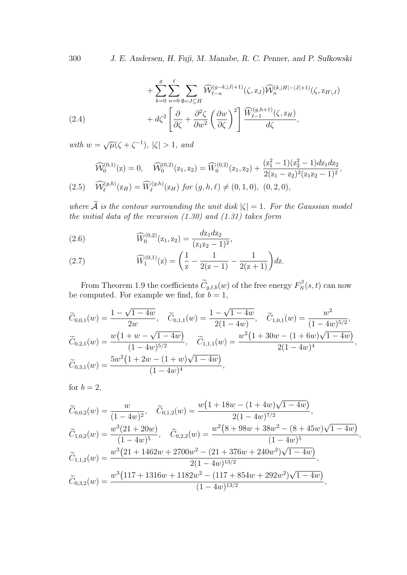300 *J. E. Andersen, H. Fuji, M. Manabe, R. C. Penner, and P. Sułkowski* 

$$
+\sum_{k=0}^{g} \sum_{n=0}^{\ell} \sum_{\emptyset=j\subseteq H} \widehat{\mathcal{W}}_{\ell-n}^{(g-k,|J|+1)}(\zeta,z_J) \widehat{\mathcal{W}}_n^{(k,|H|-|J|+1)}(\zeta,z_{H\setminus J}) + d\zeta^2 \left[\frac{\partial}{\partial \zeta} + \frac{\partial^2 \zeta}{\partial w^2} \left(\frac{\partial w}{\partial \zeta}\right)^2\right] \frac{\widehat{W}_{\ell-1}^{(g,h+1)}(\zeta,z_H)}{d\zeta},
$$

*with*  $w = \sqrt{\mu}(\zeta + \zeta^{-1}), |\zeta| > 1,$  and

$$
\widehat{\mathcal{W}}_0^{(0,1)}(z) = 0, \quad \widehat{\mathcal{W}}_0^{(0,2)}(z_1, z_2) = \widehat{\mathcal{W}}_0^{(0,2)}(z_1, z_2) + \frac{(z_1^2 - 1)(z_2^2 - 1)dz_1dz_2}{2(z_1 - z_2)^2(z_1z_2 - 1)^2},
$$
\n
$$
(2.5) \quad \widehat{\mathcal{W}}_{\ell}^{(g,h)}(z_H) = \widehat{\mathcal{W}}_{\ell}^{(g,h)}(z_H) \text{ for } (g, h, \ell) \neq (0, 1, 0), \ (0, 2, 0),
$$

*where*  $\widetilde{A}$  *is the contour surrounding the unit disk*  $|\zeta| = 1$ *. For the Gaussian model the initial data of the recursion (1.30) and (1.31) takes form*

(2.6) 
$$
\widehat{W}_0^{(0,2)}(\mathbf{z}_1, \mathbf{z}_2) = \frac{d\mathbf{z}_1 d\mathbf{z}_2}{(\mathbf{z}_1 \mathbf{z}_2 - 1)^2},
$$

(2.7) 
$$
\widehat{W}_1^{(0,1)}(z) = \left(\frac{1}{z} - \frac{1}{2(z-1)} - \frac{1}{2(z+1)}\right)dz.
$$

From Theorem 1.9 the coefficients  $\tilde{C}_{g,\ell,b}(w)$  of the free energy  $F_N^{\beta}(s,t)$  can now be computed. For example we find, for  $b = 1$ ,

$$
\widetilde{C}_{0,0,1}(w) = \frac{1 - \sqrt{1 - 4w}}{2w}, \quad \widetilde{C}_{0,1,1}(w) = \frac{1 - \sqrt{1 - 4w}}{2(1 - 4w)}, \quad \widetilde{C}_{1,0,1}(w) = \frac{w^2}{(1 - 4w)^{5/2}},
$$
\n
$$
\widetilde{C}_{0,2,1}(w) = \frac{w(1 + w - \sqrt{1 - 4w})}{(1 - 4w)^{5/2}}, \quad \widetilde{C}_{1,1,1}(w) = \frac{w^2(1 + 30w - (1 + 6w)\sqrt{1 - 4w})}{2(1 - 4w)^4},
$$
\n
$$
\widetilde{C}_{0,3,1}(w) = \frac{5w^2(1 + 2w - (1 + w)\sqrt{1 - 4w})}{(1 - 4w)^4},
$$

for  $b=2$ ,

$$
\widetilde{C}_{0,0,2}(w) = \frac{w}{(1-4w)^2}, \quad \widetilde{C}_{0,1,2}(w) = \frac{w(1+18w - (1+4w)\sqrt{1-4w})}{2(1-4w)^{7/2}}, \n\widetilde{C}_{1,0,2}(w) = \frac{w^3(21+20w)}{(1-4w)^5}, \quad \widetilde{C}_{0,2,2}(w) = \frac{w^2(8+98w+38w^2 - (8+45w)\sqrt{1-4w})}{(1-4w)^5}, \n\widetilde{C}_{1,1,2}(w) = \frac{w^3(21+1462w+2700w^2 - (21+376w+240w^2)\sqrt{1-4w})}{2(1-4w)^{13/2}}, \n\widetilde{C}_{0,3,2}(w) = \frac{w^3(117+1316w+1182w^2 - (117+854w+292w^2)\sqrt{1-4w})}{(1-4w)^{13/2}},
$$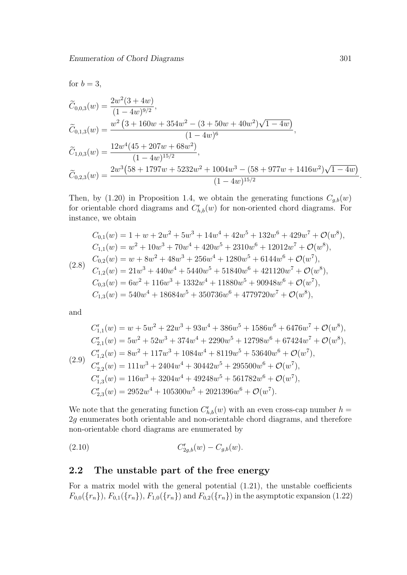for  $b=3$ ,

$$
\begin{aligned}\n\widetilde{C}_{0,0,3}(w) &= \frac{2w^2(3+4w)}{(1-4w)^{9/2}}, \\
\widetilde{C}_{0,1,3}(w) &= \frac{w^2(3+160w+354w^2-(3+50w+40w^2)\sqrt{1-4w})}{(1-4w)^6}, \\
\widetilde{C}_{1,0,3}(w) &= \frac{12w^4(45+207w+68w^2)}{(1-4w)^{15/2}}, \\
\widetilde{C}_{0,2,3}(w) &= \frac{2w^3(58+1797w+5232w^2+1004w^3-(58+977w+1416w^2)\sqrt{1-4w})}{(1-4w)^{15/2}}.\n\end{aligned}
$$

Then, by (1.20) in Proposition 1.4, we obtain the generating functions  $C_{q,b}(w)$ for orientable chord diagrams and  $C^{\mathsf{r}}_{h,b}(w)$  for non-oriented chord diagrams. For instance, we obtain

$$
C_{0,1}(w) = 1 + w + 2w^{2} + 5w^{3} + 14w^{4} + 42w^{5} + 132w^{6} + 429w^{7} + \mathcal{O}(w^{8}),
$$
  
\n
$$
C_{1,1}(w) = w^{2} + 10w^{3} + 70w^{4} + 420w^{5} + 2310w^{6} + 12012w^{7} + \mathcal{O}(w^{8}),
$$
  
\n
$$
C_{0,2}(w) = w + 8w^{2} + 48w^{3} + 256w^{4} + 1280w^{5} + 6144w^{6} + \mathcal{O}(w^{7}),
$$
  
\n
$$
C_{1,2}(w) = 21w^{3} + 440w^{4} + 5440w^{5} + 51840w^{6} + 421120w^{7} + \mathcal{O}(w^{8}),
$$
  
\n
$$
C_{0,3}(w) = 6w^{2} + 116w^{3} + 1332w^{4} + 11880w^{5} + 90948w^{6} + \mathcal{O}(w^{7}),
$$
  
\n
$$
C_{1,3}(w) = 540w^{4} + 18684w^{5} + 350736w^{6} + 4779720w^{7} + \mathcal{O}(w^{8}),
$$

and

$$
C_{1,1}^{r}(w) = w + 5w^{2} + 22w^{3} + 93w^{4} + 386w^{5} + 1586w^{6} + 6476w^{7} + \mathcal{O}(w^{8}),
$$
  
\n
$$
C_{2,1}^{r}(w) = 5w^{2} + 52w^{3} + 374w^{4} + 2290w^{5} + 12798w^{6} + 67424w^{7} + \mathcal{O}(w^{8}),
$$
  
\n
$$
C_{1,2}^{r}(w) = 8w^{2} + 117w^{3} + 1084w^{4} + 8119w^{5} + 53640w^{6} + \mathcal{O}(w^{7}),
$$
  
\n
$$
C_{2,2}^{r}(w) = 111w^{3} + 2404w^{4} + 30442w^{5} + 295500w^{6} + \mathcal{O}(w^{7}),
$$
  
\n
$$
C_{1,3}^{r}(w) = 116w^{3} + 3204w^{4} + 49248w^{5} + 561782w^{6} + \mathcal{O}(w^{7}),
$$
  
\n
$$
C_{2,3}^{r}(w) = 2952w^{4} + 105300w^{5} + 2021396w^{6} + \mathcal{O}(w^{7}).
$$

We note that the generating function  $C_{h,b}^{\mathsf{r}}(w)$  with an even cross-cap number  $h =$ 2*g* enumerates both orientable and non-orientable chord diagrams, and therefore non-orientable chord diagrams are enumerated by

(2.10) 
$$
C_{2g,b}^{r}(w) - C_{g,b}(w).
$$

## **2.2 The unstable part of the free energy**

For a matrix model with the general potential (1.21), the unstable coefficients  $F_{0,0}(\lbrace r_n \rbrace), F_{0,1}(\lbrace r_n \rbrace), F_{1,0}(\lbrace r_n \rbrace)$  and  $F_{0,2}(\lbrace r_n \rbrace)$  in the asymptotic expansion (1.22)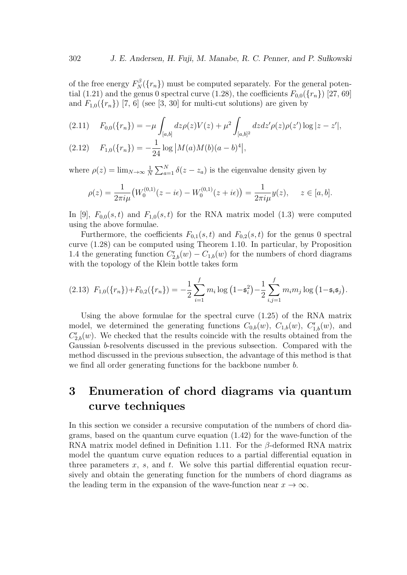of the free energy  $F_N^{\beta}(\lbrace r_n \rbrace)$  must be computed separately. For the general potential (1.21) and the genus 0 spectral curve (1.28), the coefficients  $F_{0,0}(\lbrace r_n \rbrace)$  [27, 69] and  $F_{1,0}(\lbrace r_n \rbrace)$  [7, 6] (see [3, 30] for multi-cut solutions) are given by

$$
(2.11) \tF_{0,0}(\{r_n\}) = -\mu \int_{[a,b]} dz \rho(z) V(z) + \mu^2 \int_{[a,b]^2} dz dz' \rho(z) \rho(z') \log|z - z'|,
$$

(2.12) 
$$
F_{1,0}(\lbrace r_n \rbrace) = -\frac{1}{24} \log |M(a)M(b)(a-b)^4|,
$$

where  $\rho(z) = \lim_{N \to \infty} \frac{1}{N}$  $\frac{1}{N} \sum_{a=1}^{N} \delta(z - z_a)$  is the eigenvalue density given by

$$
\rho(z) = \frac{1}{2\pi i\mu} \big( W_0^{(0,1)}(z - i\epsilon) - W_0^{(0,1)}(z + i\epsilon) \big) = \frac{1}{2\pi i\mu} y(z), \quad z \in [a, b].
$$

In [9],  $F_{0,0}(s,t)$  and  $F_{1,0}(s,t)$  for the RNA matrix model (1.3) were computed using the above formulae.

Furthermore, the coefficients  $F_{0,1}(s,t)$  and  $F_{0,2}(s,t)$  for the genus 0 spectral curve (1.28) can be computed using Theorem 1.10. In particular, by Proposition 1.4 the generating function  $C_{2,b}^r(w) - C_{1,b}(w)$  for the numbers of chord diagrams with the topology of the Klein bottle takes form

$$
(2.13) F_{1,0}(\lbrace r_n \rbrace) + F_{0,2}(\lbrace r_n \rbrace) = -\frac{1}{2} \sum_{i=1}^{f} m_i \log (1 - \mathfrak{s}_i^2) - \frac{1}{2} \sum_{i,j=1}^{f} m_i m_j \log (1 - \mathfrak{s}_i \mathfrak{s}_j).
$$

Using the above formulae for the spectral curve (1.25) of the RNA matrix model, we determined the generating functions  $C_{0,b}(w)$ ,  $C_{1,b}(w)$ ,  $C_{1,b}^r(w)$ , and  $C_{2,b}^r(w)$ . We checked that the results coincide with the results obtained from the Gaussian *b*-resolvents discussed in the previous subsection. Compared with the method discussed in the previous subsection, the advantage of this method is that we find all order generating functions for the backbone number *b*.

## **3 Enumeration of chord diagrams via quantum curve techniques**

In this section we consider a recursive computation of the numbers of chord diagrams, based on the quantum curve equation (1.42) for the wave-function of the RNA matrix model defined in Definition 1.11. For the *β*-deformed RNA matrix model the quantum curve equation reduces to a partial differential equation in three parameters *x*, *s*, and *t*. We solve this partial differential equation recursively and obtain the generating function for the numbers of chord diagrams as the leading term in the expansion of the wave-function near  $x \to \infty$ .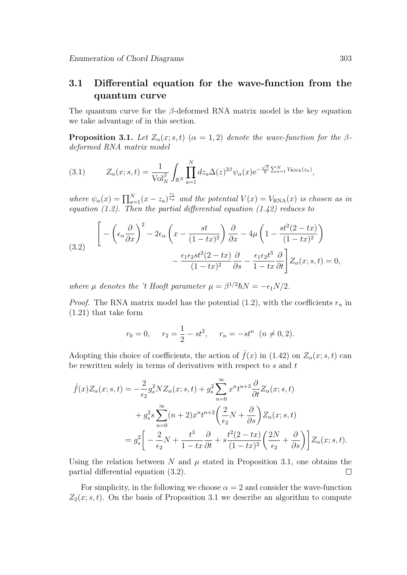## **3.1 Differential equation for the wave-function from the quantum curve**

The quantum curve for the *β*-deformed RNA matrix model is the key equation we take advantage of in this section.

**Proposition 3.1.** *Let*  $Z_\alpha(x; s, t)$  ( $\alpha = 1, 2$ ) *denote the wave-function for the*  $\beta$ *deformed RNA matrix model*

(3.1) 
$$
Z_{\alpha}(x;s,t) = \frac{1}{\text{Vol}_N^{\beta}} \int_{\mathbb{R}^N} \prod_{a=1}^N dz_a \Delta(z)^{2\beta} \psi_{\alpha}(x) e^{-\frac{\sqrt{\beta}}{\hbar} \sum_{a=1}^N V_{\text{RNA}}(z_a)},
$$

*where*  $\psi_{\alpha}(x) = \prod_{a=1}^{N} (x - z_a)^{\frac{\epsilon_1}{\epsilon_{\alpha}}}$  and the potential  $V(x) = V_{\text{RNA}}(x)$  is chosen as in *equation (1.2). Then the partial differential equation (1.42) reduces to*

(3.2) 
$$
\left[ -\left(\epsilon_{\alpha} \frac{\partial}{\partial x}\right)^{2} - 2\epsilon_{\alpha} \left(x - \frac{st}{(1 - tx)^{2}}\right) \frac{\partial}{\partial x} - 4\mu \left(1 - \frac{st^{2}(2 - tx)}{(1 - tx)^{2}}\right) - \frac{\epsilon_{1}\epsilon_{2}st^{2}(2 - tx)}{(1 - tx)^{2}} \frac{\partial}{\partial s} - \frac{\epsilon_{1}\epsilon_{2}t^{3}}{1 - tx} \frac{\partial}{\partial t} \right] Z_{\alpha}(x; s, t) = 0,
$$

*where*  $\mu$  *denotes the 't Hooft parameter*  $\mu = \beta^{1/2} \hbar N = -\epsilon_1 N/2$ *.* 

*Proof.* The RNA matrix model has the potential  $(1.2)$ , with the coefficients  $r_n$  in (1.21) that take form

$$
r_0 = 0
$$
,  $r_2 = \frac{1}{2} - st^2$ ,  $r_n = -st^n$   $(n \neq 0, 2)$ .

Adopting this choice of coefficients, the action of  $\hat{f}(x)$  in (1.42) on  $Z_{\alpha}(x; s, t)$  can be rewritten solely in terms of derivatives with respect to *s* and *t*

$$
\hat{f}(x)Z_{\alpha}(x;s,t) = -\frac{2}{\epsilon_2}g_s^2NZ_{\alpha}(x;s,t) + g_s^2\sum_{n=0}^{\infty} x^n t^{n+3} \frac{\partial}{\partial t} Z_{\alpha}(x;s,t) \n+ g_s^2 s \sum_{n=0}^{\infty} (n+2)x^n t^{n+2} \left(\frac{2}{\epsilon_2}N + \frac{\partial}{\partial s}\right) Z_{\alpha}(x;s,t) \n= g_s^2 \left[ -\frac{2}{\epsilon_2}N + \frac{t^3}{1-tx} \frac{\partial}{\partial t} + s \frac{t^2(2-tx)}{(1-tx)^2} \left(\frac{2N}{\epsilon_2} + \frac{\partial}{\partial s}\right) \right] Z_{\alpha}(x;s,t).
$$

Using the relation between  $N$  and  $\mu$  stated in Proposition 3.1, one obtains the partial differential equation (3.2).  $\Box$ 

For simplicity, in the following we choose  $\alpha = 2$  and consider the wave-function  $Z_2(x; s, t)$ . On the basis of Proposition 3.1 we describe an algorithm to compute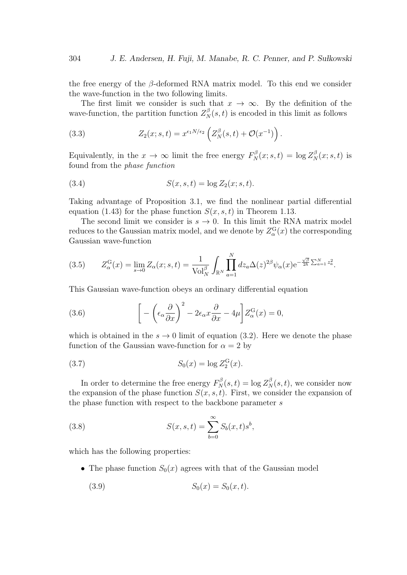the free energy of the *β*-deformed RNA matrix model. To this end we consider the wave-function in the two following limits.

The first limit we consider is such that  $x \to \infty$ . By the definition of the wave-function, the partition function  $Z_N^{\beta}(s,t)$  is encoded in this limit as follows

(3.3) 
$$
Z_2(x; s, t) = x^{\epsilon_1 N/\epsilon_2} \left( Z_N^{\beta}(s, t) + \mathcal{O}(x^{-1}) \right).
$$

Equivalently, in the  $x \to \infty$  limit the free energy  $F_N^{\beta}(x; s, t) = \log Z_N^{\beta}(x; s, t)$  is found from the *phase function*

(3.4) 
$$
S(x, s, t) = \log Z_2(x; s, t).
$$

Taking advantage of Proposition 3.1, we find the nonlinear partial differential equation (1.43) for the phase function  $S(x, s, t)$  in Theorem 1.13.

The second limit we consider is  $s \to 0$ . In this limit the RNA matrix model reduces to the Gaussian matrix model, and we denote by  $Z_{\alpha}^{\text{G}}(x)$  the corresponding Gaussian wave-function

$$
(3.5) \qquad Z_{\alpha}^{\mathcal{G}}(x) = \lim_{s \to 0} Z_{\alpha}(x; s, t) = \frac{1}{\text{Vol}_{N}^{\beta}} \int_{\mathbb{R}^{N}} \prod_{a=1}^{N} dz_{a} \Delta(z)^{2\beta} \psi_{\alpha}(x) e^{-\frac{\sqrt{\beta}}{2h} \sum_{a=1}^{N} z_{a}^{2}}.
$$

This Gaussian wave-function obeys an ordinary differential equation

(3.6) 
$$
\left[ -\left(\epsilon_{\alpha} \frac{\partial}{\partial x}\right)^2 - 2\epsilon_{\alpha} x \frac{\partial}{\partial x} - 4\mu \right] Z_{\alpha}^{\text{G}}(x) = 0,
$$

which is obtained in the  $s \to 0$  limit of equation (3.2). Here we denote the phase function of the Gaussian wave-function for  $\alpha = 2$  by

(3.7) 
$$
S_0(x) = \log Z_2^{\text{G}}(x).
$$

In order to determine the free energy  $F_N^{\beta}(s,t) = \log Z_N^{\beta}(s,t)$ , we consider now the expansion of the phase function  $S(x, s, t)$ . First, we consider the expansion of the phase function with respect to the backbone parameter *s*

(3.8) 
$$
S(x, s, t) = \sum_{b=0}^{\infty} S_b(x, t) s^b,
$$

which has the following properties:

- The phase function  $S_0(x)$  agrees with that of the Gaussian model
	- (3.9)  $S_0(x) = S_0(x, t)$ .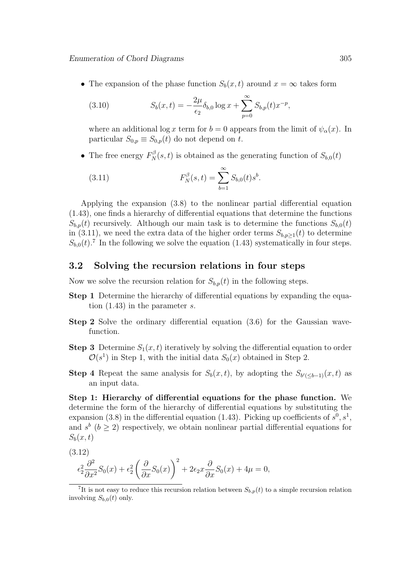• The expansion of the phase function  $S_b(x, t)$  around  $x = \infty$  takes form

(3.10) 
$$
S_b(x,t) = -\frac{2\mu}{\epsilon_2} \delta_{b,0} \log x + \sum_{p=0}^{\infty} S_{b,p}(t) x^{-p},
$$

where an additional log *x* term for  $b = 0$  appears from the limit of  $\psi_{\alpha}(x)$ . In particular  $S_{0,p} \equiv S_{0,p}(t)$  do not depend on *t*.

• The free energy  $F_N^{\beta}(s,t)$  is obtained as the generating function of  $S_{b,0}(t)$ 

(3.11) 
$$
F_N^{\beta}(s,t) = \sum_{b=1}^{\infty} S_{b,0}(t)s^b.
$$

Applying the expansion (3.8) to the nonlinear partial differential equation (1.43), one finds a hierarchy of differential equations that determine the functions  $S_{b,p}(t)$  recursively. Although our main task is to determine the functions  $S_{b,0}(t)$ in (3.11), we need the extra data of the higher order terms  $S_{b,p\geq 1}(t)$  to determine  $S_{b,0}(t)$ <sup>7</sup>. In the following we solve the equation (1.43) systematically in four steps.

### **3.2 Solving the recursion relations in four steps**

Now we solve the recursion relation for  $S_{b,p}(t)$  in the following steps.

- **Step 1** Determine the hierarchy of differential equations by expanding the equation (1.43) in the parameter *s*.
- **Step 2** Solve the ordinary differential equation (3.6) for the Gaussian wavefunction.
- **Step 3** Determine  $S_1(x,t)$  iteratively by solving the differential equation to order  $\mathcal{O}(s^1)$  in Step 1, with the initial data  $S_0(x)$  obtained in Step 2.
- **Step 4** Repeat the same analysis for  $S_b(x,t)$ , by adopting the  $S_{b'(\leq b-1)}(x,t)$  as an input data.

**Step 1: Hierarchy of differential equations for the phase function.** We determine the form of the hierarchy of differential equations by substituting the expansion (3.8) in the differential equation (1.43). Picking up coefficients of  $s^0, s^1$ , and  $s^b$  ( $b \geq 2$ ) respectively, we obtain nonlinear partial differential equations for  $S_b(x,t)$ 

$$
(3.12)
$$

$$
\epsilon_2^2 \frac{\partial^2}{\partial x^2} S_0(x) + \epsilon_2^2 \left( \frac{\partial}{\partial x} S_0(x) \right)^2 + 2\epsilon_2 x \frac{\partial}{\partial x} S_0(x) + 4\mu = 0,
$$

<sup>&</sup>lt;sup>7</sup>It is not easy to reduce this recursion relation between  $S_{b,p}(t)$  to a simple recursion relation involving  $S_{b,0}(t)$  only.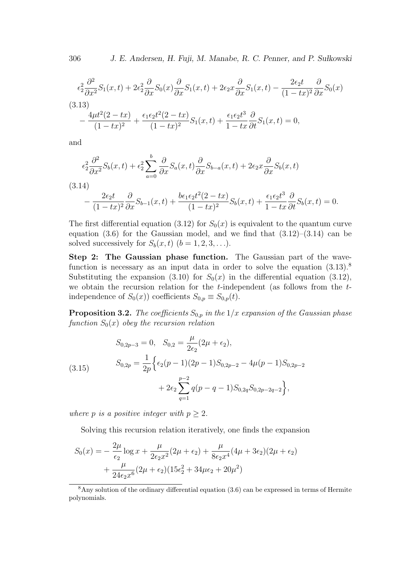306 *J. E. Andersen, H. Fuji, M. Manabe, R. C. Penner, and P. Su lkowski*

$$
\epsilon_2^2 \frac{\partial^2}{\partial x^2} S_1(x,t) + 2\epsilon_2^2 \frac{\partial}{\partial x} S_0(x) \frac{\partial}{\partial x} S_1(x,t) + 2\epsilon_2 x \frac{\partial}{\partial x} S_1(x,t) - \frac{2\epsilon_2 t}{(1 - tx)^2} \frac{\partial}{\partial x} S_0(x)
$$
\n(3.13)\n
$$
- \frac{4\mu t^2 (2 - tx)}{(1 - tx)^2} + \frac{\epsilon_1 \epsilon_2 t^2 (2 - tx)}{(1 - tx)^2} S_1(x,t) + \frac{\epsilon_1 \epsilon_2 t^3}{1 - tx} \frac{\partial}{\partial t} S_1(x,t) = 0,
$$

and

$$
\epsilon_2^2 \frac{\partial^2}{\partial x^2} S_b(x,t) + \epsilon_2^2 \sum_{a=0}^b \frac{\partial}{\partial x} S_a(x,t) \frac{\partial}{\partial x} S_{b-a}(x,t) + 2\epsilon_2 x \frac{\partial}{\partial x} S_b(x,t)
$$

(3.14)  
\n
$$
-\frac{2\epsilon_2 t}{(1-tx)^2} \frac{\partial}{\partial x} S_{b-1}(x,t) + \frac{b\epsilon_1 \epsilon_2 t^2 (2-tx)}{(1-tx)^2} S_b(x,t) + \frac{\epsilon_1 \epsilon_2 t^3}{1-tx} \frac{\partial}{\partial t} S_b(x,t) = 0.
$$

The first differential equation (3.12) for  $S_0(x)$  is equivalent to the quantum curve equation  $(3.6)$  for the Gaussian model, and we find that  $(3.12)$ – $(3.14)$  can be solved successively for  $S_b(x, t)$   $(b = 1, 2, 3, \ldots).$ 

**Step 2: The Gaussian phase function.** The Gaussian part of the wavefunction is necessary as an input data in order to solve the equation  $(3.13)$ .<sup>8</sup> Substituting the expansion (3.10) for  $S_0(x)$  in the differential equation (3.12), we obtain the recursion relation for the *t*-independent (as follows from the *t*independence of  $S_0(x)$ ) coefficients  $S_{0,p} \equiv S_{0,p}(t)$ .

**Proposition 3.2.** *The coefficients*  $S_{0,p}$  *in the*  $1/x$  *expansion of the Gaussian phase function*  $S_0(x)$  *obey the recursion relation* 

(3.15) 
$$
S_{0,2p-3} = 0, \quad S_{0,2} = \frac{\mu}{2\epsilon_2} (2\mu + \epsilon_2),
$$

$$
S_{0,2p} = \frac{1}{2p} \Big\{ \epsilon_2 (p-1)(2p-1) S_{0,2p-2} - 4\mu (p-1) S_{0,2p-2} + 2\epsilon_2 \sum_{q=1}^{p-2} q(p-q-1) S_{0,2q} S_{0,2p-2q-2} \Big\},
$$

*where p is a positive integer with*  $p \geq 2$ *.* 

Solving this recursion relation iteratively, one finds the expansion

$$
S_0(x) = -\frac{2\mu}{\epsilon_2} \log x + \frac{\mu}{2\epsilon_2 x^2} (2\mu + \epsilon_2) + \frac{\mu}{8\epsilon_2 x^4} (4\mu + 3\epsilon_2)(2\mu + \epsilon_2) + \frac{\mu}{24\epsilon_2 x^6} (2\mu + \epsilon_2)(15\epsilon_2^2 + 34\mu\epsilon_2 + 20\mu^2)
$$

<sup>8</sup>Any solution of the ordinary differential equation (3.6) can be expressed in terms of Hermite polynomials.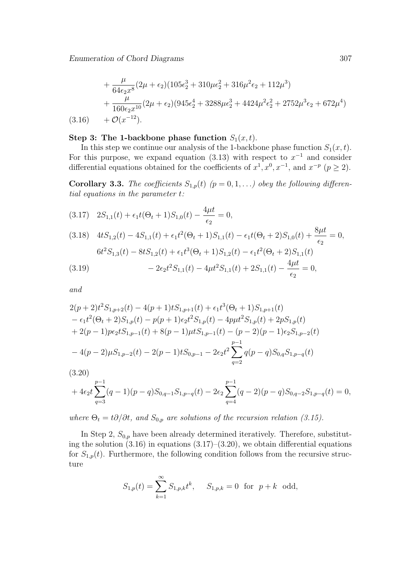$$
+\frac{\mu}{64\epsilon_2 x^8} (2\mu + \epsilon_2)(105\epsilon_2^3 + 310\mu\epsilon_2^2 + 316\mu^2\epsilon_2 + 112\mu^3) + \frac{\mu}{160\epsilon_2 x^{10}} (2\mu + \epsilon_2)(945\epsilon_2^4 + 3288\mu\epsilon_2^3 + 4424\mu^2\epsilon_2^2 + 2752\mu^3\epsilon_2 + 672\mu^4) (3.16) + \mathcal{O}(x^{-12}).
$$

#### **Step 3: The 1-backbone phase function**  $S_1(x,t)$ .

In this step we continue our analysis of the 1-backbone phase function  $S_1(x, t)$ . For this purpose, we expand equation  $(3.13)$  with respect to  $x^{-1}$  and consider differential equations obtained for the coefficients of  $x^1, x^0, x^{-1}$ , and  $x^{-p}$  ( $p \ge 2$ ).

**Corollary 3.3.** *The coefficients*  $S_{1,p}(t)$  ( $p = 0, 1, \ldots$ ) obey the following differen*tial equations in the parameter t:*

$$
(3.17) \quad 2S_{1,1}(t) + \epsilon_1 t (\Theta_t + 1) S_{1,0}(t) - \frac{4\mu t}{\epsilon_2} = 0,
$$

(3.18) 
$$
4tS_{1,2}(t) - 4S_{1,1}(t) + \epsilon_1 t^2 (\Theta_t + 1)S_{1,1}(t) - \epsilon_1 t (\Theta_t + 2)S_{1,0}(t) + \frac{8\mu t}{\epsilon_2} = 0,
$$

$$
6t^2 S_{1,3}(t) - 8tS_{1,2}(t) + \epsilon_1 t^3 (\Theta_t + 1)S_{1,2}(t) - \epsilon_1 t^2 (\Theta_t + 2)S_{1,1}(t)
$$

$$
- 2\epsilon_2 t^2 S_{1,1}(t) - 4\mu t^2 S_{1,1}(t) + 2S_{1,1}(t) - \frac{4\mu t}{\epsilon_2} = 0,
$$

*and*

$$
2(p+2)t^{2}S_{1,p+2}(t) - 4(p+1)tS_{1,p+1}(t) + \epsilon_{1}t^{3}(\Theta_{t} + 1)S_{1,p+1}(t)
$$
  
\n
$$
- \epsilon_{1}t^{2}(\Theta_{t} + 2)S_{1,p}(t) - p(p+1)\epsilon_{2}t^{2}S_{1,p}(t) - 4p\mu t^{2}S_{1,p}(t) + 2pS_{1,p}(t)
$$
  
\n
$$
+ 2(p-1)p\epsilon_{2}tS_{1,p-1}(t) + 8(p-1)\mu tS_{1,p-1}(t) - (p-2)(p-1)\epsilon_{2}S_{1,p-2}(t)
$$
  
\n
$$
- 4(p-2)\mu S_{1,p-2}(t) - 2(p-1)tS_{0,p-1} - 2\epsilon_{2}t^{2} \sum_{q=2}^{p-1} q(p-q)S_{0,q}S_{1,p-q}(t)
$$
  
\n(3.20)

$$
+ 4\epsilon_2 t \sum_{q=3}^{p-1} (q-1)(p-q)S_{0,q-1}S_{1,p-q}(t) - 2\epsilon_2 \sum_{q=4}^{p-1} (q-2)(p-q)S_{0,q-2}S_{1,p-q}(t) = 0,
$$

*where*  $\Theta_t = t\partial/\partial t$ , and  $S_{0,p}$  are solutions of the recursion relation (3.15).

In Step 2,  $S_{0,p}$  have been already determined iteratively. Therefore, substituting the solution  $(3.16)$  in equations  $(3.17)$ – $(3.20)$ , we obtain differential equations for  $S_{1,p}(t)$ . Furthermore, the following condition follows from the recursive structure

$$
S_{1,p}(t) = \sum_{k=1}^{\infty} S_{1,p,k} t^k, \quad S_{1,p,k} = 0 \text{ for } p+k \text{ odd},
$$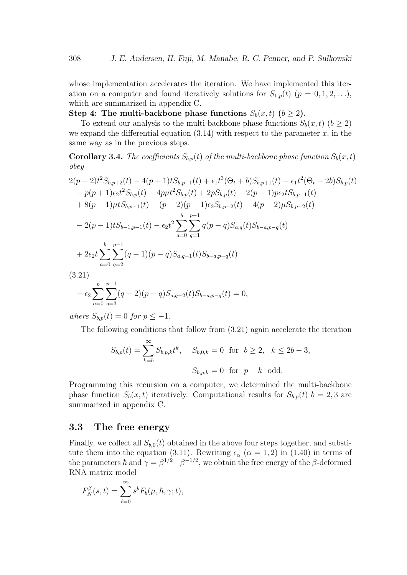whose implementation accelerates the iteration. We have implemented this iteration on a computer and found iteratively solutions for  $S_{1,p}(t)$  ( $p = 0, 1, 2, \ldots$ ), which are summarized in appendix C.

**Step 4: The multi-backbone phase functions**  $S_b(x, t)$  **(** $b \ge 2$ **).** 

To extend our analysis to the multi-backbone phase functions  $S_b(x, t)$  ( $b > 2$ ) we expand the differential equation  $(3.14)$  with respect to the parameter *x*, in the same way as in the previous steps.

**Corollary 3.4.** *The coefficients*  $S_{b,p}(t)$  *of the multi-backbone phase function*  $S_b(x,t)$ *obey*

$$
2(p+2)t^{2}S_{b,p+2}(t) - 4(p+1)tS_{b,p+1}(t) + \epsilon_{1}t^{3}(\Theta_{t} + b)S_{b,p+1}(t) - \epsilon_{1}t^{2}(\Theta_{t} + 2b)S_{b,p}(t)
$$
  
\n
$$
- p(p+1)\epsilon_{2}t^{2}S_{b,p}(t) - 4p\mu t^{2}S_{b,p}(t) + 2pS_{b,p}(t) + 2(p-1)p\epsilon_{2}tS_{b,p-1}(t)
$$
  
\n
$$
+ 8(p-1)\mu tS_{b,p-1}(t) - (p-2)(p-1)\epsilon_{2}S_{b,p-2}(t) - 4(p-2)\mu S_{b,p-2}(t)
$$
  
\n
$$
- 2(p-1)tS_{b-1,p-1}(t) - \epsilon_{2}t^{2}\sum_{a=0}^{b} \sum_{q=1}^{p-1} q(p-q)S_{a,q}(t)S_{b-a,p-q}(t)
$$
  
\n
$$
+ 2\epsilon_{2}t\sum_{a=0}^{b} \sum_{q=2}^{p-1} (q-1)(p-q)S_{a,q-1}(t)S_{b-a,p-q}(t)
$$
  
\n(3.21)  
\n
$$
+ \epsilon_{2}t\sum_{p=0}^{b} \sum_{q=2}^{p-1} (q-2)(p-q)S_{a,q-2}(t)S_{b-a,p-q}(t) = 0,
$$

*where*  $S_{b,p}(t) = 0$  *for*  $p \le -1$ *.* 

*a*=0 *q*=3

The following conditions that follow from (3.21) again accelerate the iteration

$$
S_{b,p}(t) = \sum_{k=b}^{\infty} S_{b,p,k} t^k, \quad S_{b,0,k} = 0 \text{ for } b \ge 2, \ k \le 2b - 3,
$$
  

$$
S_{b,p,k} = 0 \text{ for } p+k \text{ odd.}
$$

Programming this recursion on a computer, we determined the multi-backbone phase function  $S_b(x, t)$  iteratively. Computational results for  $S_{b,p}(t)$   $b = 2, 3$  are summarized in appendix C.

#### **3.3 The free energy**

Finally, we collect all  $S_{b,0}(t)$  obtained in the above four steps together, and substitute them into the equation (3.11). Rewriting  $\epsilon_{\alpha}$  ( $\alpha = 1, 2$ ) in (1.40) in terms of the parameters  $\hbar$  and  $\gamma = \beta^{1/2} - \beta^{-1/2}$ , we obtain the free energy of the  $\beta$ -deformed RNA matrix model

$$
F_N^{\beta}(s,t) = \sum_{\ell=0}^{\infty} s^b F_b(\mu, \hbar, \gamma; t),
$$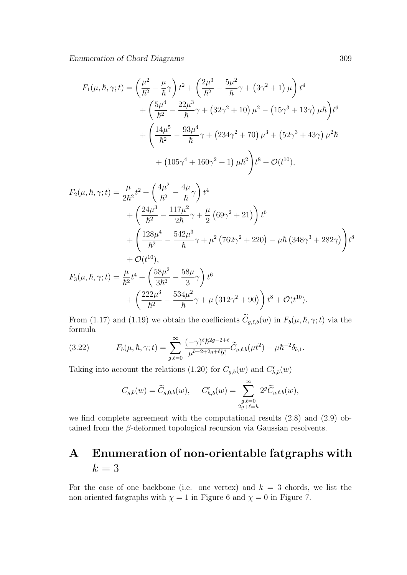$$
F_1(\mu, \hbar, \gamma; t) = \left(\frac{\mu^2}{\hbar^2} - \frac{\mu}{\hbar}\gamma\right) t^2 + \left(\frac{2\mu^3}{\hbar^2} - \frac{5\mu^2}{\hbar}\gamma + (3\gamma^2 + 1)\mu\right) t^4
$$
  
+ 
$$
\left(\frac{5\mu^4}{\hbar^2} - \frac{22\mu^3}{\hbar}\gamma + (32\gamma^2 + 10)\mu^2 - (15\gamma^3 + 13\gamma)\mu\hbar\right) t^6
$$
  
+ 
$$
\left(\frac{14\mu^5}{\hbar^2} - \frac{93\mu^4}{\hbar}\gamma + (234\gamma^2 + 70)\mu^3 + (52\gamma^3 + 43\gamma)\mu^2\hbar
$$
  
+ 
$$
(105\gamma^4 + 160\gamma^2 + 1)\mu\hbar^2\right) t^8 + \mathcal{O}(t^{10}),
$$

$$
F_2(\mu, \hbar, \gamma; t) = \frac{\mu}{2\hbar^2} t^2 + \left(\frac{4\mu^2}{\hbar^2} - \frac{4\mu}{\hbar} \gamma\right) t^4
$$
  
+ 
$$
\left(\frac{24\mu^3}{\hbar^2} - \frac{117\mu^2}{2\hbar} \gamma + \frac{\mu}{2} (69\gamma^2 + 21) \right) t^6
$$
  
+ 
$$
\left(\frac{128\mu^4}{\hbar^2} - \frac{542\mu^3}{\hbar} \gamma + \mu^2 (762\gamma^2 + 220) - \mu \hbar (348\gamma^3 + 282\gamma) \right) t^8
$$
  
+ 
$$
\mathcal{O}(t^{10}),
$$
  

$$
F_3(\mu, \hbar, \gamma; t) = \frac{\mu}{\hbar^2} t^4 + \left(\frac{58\mu^2}{3\hbar^2} - \frac{58\mu}{3} \gamma\right) t^6
$$

$$
(\mu, \mu, \gamma, t) = \frac{1}{\hbar^2} t^2 + \left( \frac{3\hbar^2}{3\hbar^2} - \frac{3}{3} \gamma \right) t^2 + \left( \frac{222\mu^3}{\hbar^2} - \frac{534\mu^2}{\hbar} \gamma + \mu \left( 312\gamma^2 + 90 \right) \right) t^8 + \mathcal{O}(t^{10}).
$$

From (1.17) and (1.19) we obtain the coefficients  $C_{g,\ell,b}(w)$  in  $F_b(\mu, \hbar, \gamma; t)$  via the formula

(3.22) 
$$
F_b(\mu, \hbar, \gamma; t) = \sum_{g,\ell=0}^{\infty} \frac{(-\gamma)^{\ell} \hbar^{2g-2+\ell}}{\mu^{b-2+2g+\ell} b!} \widetilde{C}_{g,\ell,b}(\mu t^2) - \mu \hbar^{-2} \delta_{b,1}.
$$

Taking into account the relations (1.20) for  $C_{g,b}(w)$  and  $C^{\mathsf{r}}_{h,b}(w)$ 

$$
C_{g,b}(w) = \widetilde{C}_{g,0,b}(w), \qquad C_{h,b}^{\mathsf{r}}(w) = \sum_{\substack{g,\ell=0 \\ 2g+\ell=h}}^{\infty} 2^g \widetilde{C}_{g,\ell,b}(w),
$$

we find complete agreement with the computational results (2.8) and (2.9) obtained from the *β*-deformed topological recursion via Gaussian resolvents.

# **A Enumeration of non-orientable fatgraphs with**  $k = 3$

For the case of one backbone (i.e. one vertex) and  $k = 3$  chords, we list the non-oriented fatgraphs with  $\chi = 1$  in Figure 6 and  $\chi = 0$  in Figure 7.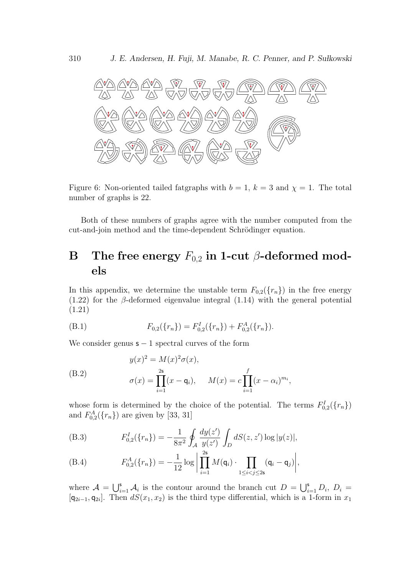

Figure 6: Non-oriented tailed fatgraphs with  $b = 1$ ,  $k = 3$  and  $\chi = 1$ . The total number of graphs is 22.

Both of these numbers of graphs agree with the number computed from the cut-and-join method and the time-dependent Schrödinger equation.

## **B** The free energy  $F_{0,2}$  in 1-cut  $\beta$ -deformed mod**els**

In this appendix, we determine the unstable term  $F_{0,2}(\lbrace r_n \rbrace)$  in the free energy  $(1.22)$  for the *β*-deformed eigenvalue integral  $(1.14)$  with the general potential (1.21)

(B.1) 
$$
F_{0,2}(\lbrace r_n \rbrace) = F_{0,2}^I(\lbrace r_n \rbrace) + F_{0,2}^A(\lbrace r_n \rbrace).
$$

We consider genus s *−* 1 spectral curves of the form

(B.2) 
$$
y(x)^{2} = M(x)^{2} \sigma(x),
$$

$$
\sigma(x) = \prod_{i=1}^{25} (x - q_{i}), \quad M(x) = c \prod_{i=1}^{f} (x - \alpha_{i})^{m_{i}},
$$

whose form is determined by the choice of the potential. The terms  $F_{0,2}^I({r_n})$ and  $F_{0,2}^{A}({r_n})$  are given by [33, 31]

(B.3) 
$$
F_{0,2}^I(\{r_n\}) = -\frac{1}{8\pi^2} \oint_{\mathcal{A}} \frac{dy(z')}{y(z')} \int_D dS(z,z') \log|y(z)|,
$$

(B.4) 
$$
F_{0,2}^{A}(\{r_{n}\}) = -\frac{1}{12}\log \bigg| \prod_{i=1}^{2s} M(\mathsf{q}_{i}) \cdot \prod_{1 \leq i < j \leq 2s} (\mathsf{q}_{i} - \mathsf{q}_{j}) \bigg|,
$$

where  $\mathcal{A} = \bigcup_{i=1}^s \mathcal{A}_i$  is the contour around the branch cut  $D = \bigcup_{i=1}^s D_i$ ,  $D_i =$  $[q_{2i-1}, q_{2i}]$ . Then  $dS(x_1, x_2)$  is the third type differential, which is a 1-form in  $x_1$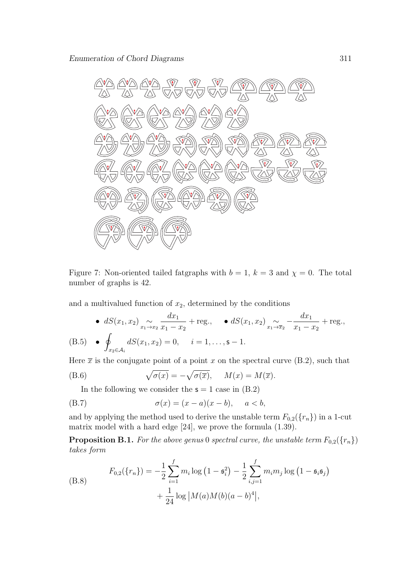

Figure 7: Non-oriented tailed fatgraphs with  $b = 1$ ,  $k = 3$  and  $\chi = 0$ . The total number of graphs is 42.

and a multivalued function of  $x_2$ , determined by the conditions

• 
$$
dS(x_1, x_2) \underset{x_1 \to x_2}{\sim} \frac{dx_1}{x_1 - x_2} + \text{reg.},
$$
  $dS(x_1, x_2) \underset{x_1 \to x_2}{\sim} -\frac{dx_1}{x_1 - x_2} + \text{reg.},$ 

(B.5) 
$$
\bullet \oint_{x_2 \in \mathcal{A}_i} dS(x_1, x_2) = 0, \quad i = 1, \dots, s-1.
$$

Here  $\bar{x}$  is the conjugate point of a point *x* on the spectral curve (B.2), such that

(B.6) 
$$
\sqrt{\sigma(x)} = -\sqrt{\sigma(\overline{x})}, \quad M(x) = M(\overline{x}).
$$

In the following we consider the  $s = 1$  case in  $(B.2)$ 

(B.7) 
$$
\sigma(x) = (x - a)(x - b), \quad a < b,
$$

and by applying the method used to derive the unstable term  $F_{0,2}(\lbrace r_n \rbrace)$  in a 1-cut matrix model with a hard edge [24], we prove the formula (1.39).

**Proposition B.1.** For the above genus 0 spectral curve, the unstable term  $F_{0,2}(\lbrace r_n \rbrace)$ *takes form*

(B.8) 
$$
F_{0,2}(\lbrace r_n \rbrace) = -\frac{1}{2} \sum_{i=1}^{f} m_i \log (1 - \mathfrak{s}_i^2) - \frac{1}{2} \sum_{i,j=1}^{f} m_i m_j \log (1 - \mathfrak{s}_i \mathfrak{s}_j) + \frac{1}{24} \log |M(a)M(b)(a - b)^4|,
$$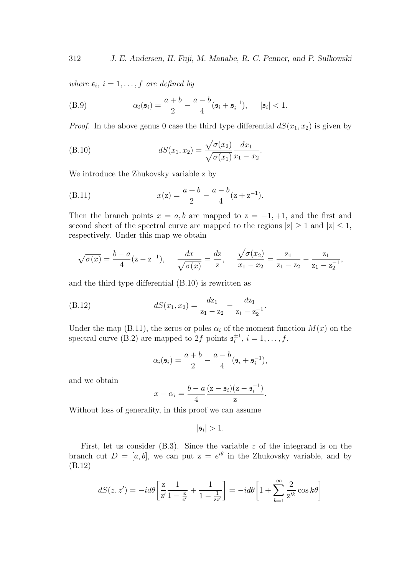*where*  $s_i$ ,  $i = 1, \ldots, f$  *are defined by* 

(B.9) 
$$
\alpha_i(\mathfrak{s}_i) = \frac{a+b}{2} - \frac{a-b}{4}(\mathfrak{s}_i + \mathfrak{s}_i^{-1}), \quad |\mathfrak{s}_i| < 1.
$$

*Proof.* In the above genus 0 case the third type differential  $dS(x_1, x_2)$  is given by

(B.10) 
$$
dS(x_1, x_2) = \frac{\sqrt{\sigma(x_2)}}{\sqrt{\sigma(x_1)}} \frac{dx_1}{x_1 - x_2}.
$$

We introduce the Zhukovsky variable z by

(B.11) 
$$
x(z) = \frac{a+b}{2} - \frac{a-b}{4}(z+z^{-1}).
$$

Then the branch points  $x = a, b$  are mapped to  $z = -1, +1$ , and the first and second sheet of the spectral curve are mapped to the regions  $|z| \ge 1$  and  $|z| \le 1$ , respectively. Under this map we obtain

$$
\sqrt{\sigma(x)} = \frac{b-a}{4}(z - z^{-1}), \quad \frac{dx}{\sqrt{\sigma(x)}} = \frac{dz}{z}, \quad \frac{\sqrt{\sigma(x_2)}}{x_1 - x_2} = \frac{z_1}{z_1 - z_2} - \frac{z_1}{z_1 - z_2^{-1}},
$$

and the third type differential (B.10) is rewritten as

(B.12) 
$$
dS(x_1, x_2) = \frac{dz_1}{z_1 - z_2} - \frac{dz_1}{z_1 - z_2^{-1}}.
$$

Under the map (B.11), the zeros or poles  $\alpha_i$  of the moment function  $M(x)$  on the spectral curve (B.2) are mapped to 2f points  $\mathfrak{s}_i^{\pm 1}$ ,  $i = 1, \ldots, f$ ,

$$
\alpha_i(\mathfrak{s}_i) = \frac{a+b}{2} - \frac{a-b}{4}(\mathfrak{s}_i + \mathfrak{s}_i^{-1}),
$$

and we obtain

$$
x - \alpha_i = \frac{b - a}{4} \frac{(z - \mathfrak{s}_i)(z - \mathfrak{s}_i^{-1})}{z}.
$$

Without loss of generality, in this proof we can assume

$$
|\mathfrak{s}_i|>1.
$$

First, let us consider (B.3). Since the variable *z* of the integrand is on the branch cut  $D = [a, b]$ , we can put  $z = e^{i\theta}$  in the Zhukovsky variable, and by (B.12)

$$
dS(z, z') = -id\theta \left[ \frac{z}{z'} \frac{1}{1 - \frac{z}{z'}} + \frac{1}{1 - \frac{1}{z z'}} \right] = -id\theta \left[ 1 + \sum_{k=1}^{\infty} \frac{2}{z'^k} \cos k\theta \right]
$$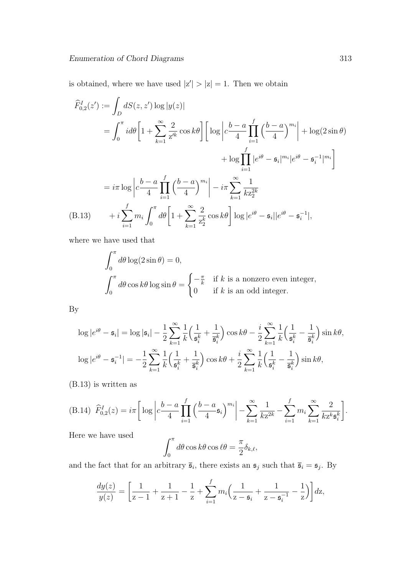is obtained, where we have used  $|z'| > |z| = 1$ . Then we obtain

$$
\hat{F}_{0,2}^{I}(z') := \int_{D} dS(z, z') \log |y(z)|
$$
\n
$$
= \int_{0}^{\pi} i d\theta \left[ 1 + \sum_{k=1}^{\infty} \frac{2}{z'^k} \cos k\theta \right] \left[ \log \left| c \frac{b-a}{4} \prod_{i=1}^{f} \left( \frac{b-a}{4} \right)^{m_i} \right| + \log(2 \sin \theta) + \log \prod_{i=1}^{f} \left| e^{i\theta} - \mathfrak{s}_i \right|^{m_i} \left| e^{i\theta} - \mathfrak{s}_i^{-1} \right|^{m_i} \right]
$$
\n
$$
= i\pi \log \left| c \frac{b-a}{4} \prod_{i=1}^{f} \left( \frac{b-a}{4} \right)^{m_i} \right| - i\pi \sum_{k=1}^{\infty} \frac{1}{kz_2^{2k}}
$$
\n(B.13) 
$$
+ i \sum_{i=1}^{f} m_i \int_{0}^{\pi} d\theta \left[ 1 + \sum_{k=1}^{\infty} \frac{2}{z_2^k} \cos k\theta \right] \log |e^{i\theta} - \mathfrak{s}_i| |e^{i\theta} - \mathfrak{s}_i^{-1} |,
$$

where we have used that

$$
\int_0^{\pi} d\theta \log(2 \sin \theta) = 0,
$$
  

$$
\int_0^{\pi} d\theta \cos k\theta \log \sin \theta = \begin{cases} -\frac{\pi}{k} & \text{if } k \text{ is a nonzero even integer,} \\ 0 & \text{if } k \text{ is an odd integer.} \end{cases}
$$

By

$$
\log |e^{i\theta} - \mathfrak{s}_i| = \log |\mathfrak{s}_i| - \frac{1}{2} \sum_{k=1}^{\infty} \frac{1}{k} \left( \frac{1}{\mathfrak{s}_i^k} + \frac{1}{\overline{\mathfrak{s}}_i^k} \right) \cos k\theta - \frac{i}{2} \sum_{k=1}^{\infty} \frac{1}{k} \left( \frac{1}{\mathfrak{s}_i^k} - \frac{1}{\overline{\mathfrak{s}}_i^k} \right) \sin k\theta,
$$
  

$$
\log |e^{i\theta} - \mathfrak{s}_i^{-1}| = -\frac{1}{2} \sum_{k=1}^{\infty} \frac{1}{k} \left( \frac{1}{\mathfrak{s}_i^k} + \frac{1}{\overline{\mathfrak{s}}_i^k} \right) \cos k\theta + \frac{i}{2} \sum_{k=1}^{\infty} \frac{1}{k} \left( \frac{1}{\mathfrak{s}_i^k} - \frac{1}{\overline{\mathfrak{s}}_i^k} \right) \sin k\theta,
$$

(B.13) is written as

(B.14) 
$$
\hat{F}_{0,2}^I(z) = i\pi \left[ \log \left| c \frac{b-a}{4} \prod_{i=1}^f \left( \frac{b-a}{4} \mathfrak{s}_i \right)^{m_i} \right| - \sum_{k=1}^\infty \frac{1}{k z^{2k}} - \sum_{i=1}^f m_i \sum_{k=1}^\infty \frac{2}{k z^k \mathfrak{s}_i^k} \right].
$$

Here we have used

$$
\int_0^{\pi} d\theta \cos k\theta \cos \ell\theta = \frac{\pi}{2} \delta_{k,\ell},
$$

and the fact that for an arbitrary  $\bar{\mathfrak{s}}_i$ , there exists an  $\mathfrak{s}_j$  such that  $\bar{\mathfrak{s}}_i = \mathfrak{s}_j$ . By

$$
\frac{dy(z)}{y(z)} = \left[\frac{1}{z-1} + \frac{1}{z+1} - \frac{1}{z} + \sum_{i=1}^{f} m_i \left(\frac{1}{z-\mathfrak{s}_i} + \frac{1}{z-\mathfrak{s}_i^{-1}} - \frac{1}{z}\right)\right] dz,
$$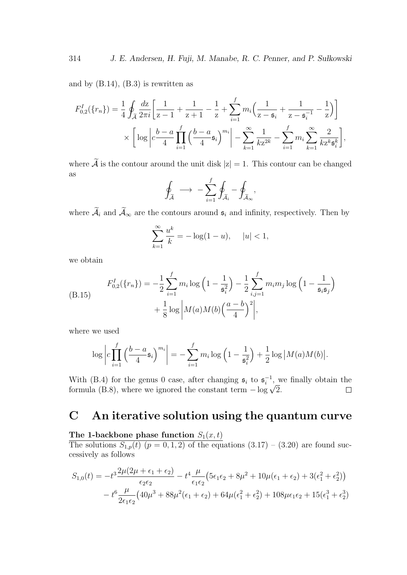and by  $(B.14)$ ,  $(B.3)$  is rewritten as

$$
F_{0,2}^{I}(\lbrace r_{n}\rbrace) = \frac{1}{4} \oint_{\widetilde{\mathcal{A}}} \frac{dz}{2\pi i} \left[ \frac{1}{z-1} + \frac{1}{z+1} - \frac{1}{z} + \sum_{i=1}^{f} m_{i} \left( \frac{1}{z-\mathfrak{s}_{i}} + \frac{1}{z-\mathfrak{s}_{i}^{-1}} - \frac{1}{z} \right) \right]
$$

$$
\times \left[ \log \left| c \frac{b-a}{4} \prod_{i=1}^{f} \left( \frac{b-a}{4} \mathfrak{s}_{i} \right)^{m_{i}} \right| - \sum_{k=1}^{\infty} \frac{1}{k z^{2k}} - \sum_{i=1}^{f} m_{i} \sum_{k=1}^{\infty} \frac{2}{k z^{k} \mathfrak{s}_{i}^{k}} \right],
$$

where  $\widetilde{\mathcal{A}}$  is the contour around the unit disk  $|z|=1$ . This contour can be changed as

$$
\oint_{\widetilde{\mathcal{A}}} \longrightarrow -\sum_{i=1}^f \oint_{\widetilde{\mathcal{A}}_i} - \oint_{\widetilde{\mathcal{A}}_\infty},
$$

where  $\widetilde{\mathcal{A}}_i$  and  $\widetilde{\mathcal{A}}_\infty$  are the contours around  $\mathfrak{s}_i$  and infinity, respectively. Then by

$$
\sum_{k=1}^{\infty} \frac{u^k}{k} = -\log(1 - u), \quad |u| < 1,
$$

we obtain

(B.15) 
$$
F_{0,2}^{I}(\lbrace r_{n}\rbrace) = -\frac{1}{2} \sum_{i=1}^{f} m_{i} \log \left(1 - \frac{1}{\mathfrak{s}_{i}^{2}}\right) - \frac{1}{2} \sum_{i,j=1}^{f} m_{i} m_{j} \log \left(1 - \frac{1}{\mathfrak{s}_{i} \mathfrak{s}_{j}}\right) + \frac{1}{8} \log \left|M(a)M(b)\left(\frac{a-b}{4}\right)^{2}\right|,
$$

where we used

$$
\log \left| c \prod_{i=1}^f \left( \frac{b-a}{4} \mathfrak{s}_i \right)^{m_i} \right| = - \sum_{i=1}^f m_i \log \left( 1 - \frac{1}{\mathfrak{s}_i^2} \right) + \frac{1}{2} \log \left| M(a)M(b) \right|.
$$

With (B.4) for the genus 0 case, after changing  $\mathfrak{s}_i$  to  $\mathfrak{s}_i^{-1}$ , we finally obtain the formula (B.8), where we ignored the constant term *<sup>−</sup>* log *<sup>√</sup>* 2.  $\Box$ 

## **C An iterative solution using the quantum curve**

#### The 1-backbone phase function  $S_1(x,t)$

The solutions  $S_{1,p}(t)$   $(p = 0, 1, 2)$  of the equations  $(3.17) - (3.20)$  are found successively as follows

$$
S_{1,0}(t) = -t^3 \frac{2\mu(2\mu + \epsilon_1 + \epsilon_2)}{\epsilon_2 \epsilon_2} - t^4 \frac{\mu}{\epsilon_1 \epsilon_2} \left(5\epsilon_1 \epsilon_2 + 8\mu^2 + 10\mu(\epsilon_1 + \epsilon_2) + 3(\epsilon_1^2 + \epsilon_2^2)\right) - t^6 \frac{\mu}{2\epsilon_1 \epsilon_2} \left(40\mu^3 + 88\mu^2(\epsilon_1 + \epsilon_2) + 64\mu(\epsilon_1^2 + \epsilon_2^2) + 108\mu\epsilon_1\epsilon_2 + 15(\epsilon_1^3 + \epsilon_2^3)\right)
$$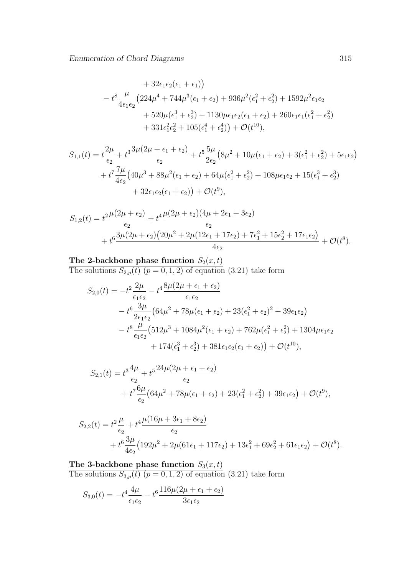+ 
$$
32\epsilon_1\epsilon_2(\epsilon_1 + \epsilon_1)
$$
  
\n-  $t^8 \frac{\mu}{4\epsilon_1\epsilon_2} (224\mu^4 + 744\mu^3(\epsilon_1 + \epsilon_2) + 936\mu^2(\epsilon_1^2 + \epsilon_2^2) + 1592\mu^2\epsilon_1\epsilon_2$   
\n+  $520\mu(\epsilon_1^3 + \epsilon_2^3) + 1130\mu\epsilon_1\epsilon_2(\epsilon_1 + \epsilon_2) + 260\epsilon_1\epsilon_1(\epsilon_1^2 + \epsilon_2^2)$   
\n+  $331\epsilon_1^2\epsilon_2^2 + 105(\epsilon_1^4 + \epsilon_2^4)) + \mathcal{O}(t^{10}),$ 

$$
S_{1,1}(t) = t \frac{2\mu}{\epsilon_2} + t^3 \frac{3\mu(2\mu + \epsilon_1 + \epsilon_2)}{\epsilon_2} + t^5 \frac{5\mu}{2\epsilon_2} (8\mu^2 + 10\mu(\epsilon_1 + \epsilon_2) + 3(\epsilon_1^2 + \epsilon_2^2) + 5\epsilon_1\epsilon_2) + t^7 \frac{7\mu}{4\epsilon_2} (40\mu^3 + 88\mu^2(\epsilon_1 + \epsilon_2) + 64\mu(\epsilon_1^2 + \epsilon_2^2) + 108\mu\epsilon_1\epsilon_2 + 15(\epsilon_1^3 + \epsilon_2^3) + 32\epsilon_1\epsilon_2(\epsilon_1 + \epsilon_2)) + \mathcal{O}(t^9),
$$

$$
S_{1,2}(t) = t^2 \frac{\mu(2\mu + \epsilon_2)}{\epsilon_2} + t^4 \frac{\mu(2\mu + \epsilon_2)(4\mu + 2\epsilon_1 + 3\epsilon_2)}{\epsilon_2} + t^6 \frac{3\mu(2\mu + \epsilon_2)(20\mu^2 + 2\mu(12\epsilon_1 + 17\epsilon_2) + 7\epsilon_1^2 + 15\epsilon_2^2 + 17\epsilon_1\epsilon_2)}{4\epsilon_2} + \mathcal{O}(t^8).
$$

#### The 2-backbone phase function  $S_2(x,t)$

The solutions  $S_{2,p}(t)$   $(p = 0, 1, 2)$  of equation  $(3.21)$  take form

$$
S_{2,0}(t) = -t^2 \frac{2\mu}{\epsilon_1 \epsilon_2} - t^4 \frac{8\mu(2\mu + \epsilon_1 + \epsilon_2)}{\epsilon_1 \epsilon_2}
$$
  

$$
- t^6 \frac{3\mu}{2\epsilon_1 \epsilon_2} \left(64\mu^2 + 78\mu(\epsilon_1 + \epsilon_2) + 23(\epsilon_1^2 + \epsilon_2)^2 + 39\epsilon_1 \epsilon_2\right)
$$
  

$$
- t^8 \frac{\mu}{\epsilon_1 \epsilon_2} \left(512\mu^3 + 1084\mu^2(\epsilon_1 + \epsilon_2) + 762\mu(\epsilon_1^2 + \epsilon_2^2) + 1304\mu\epsilon_1\epsilon_2\right)
$$
  

$$
+ 174(\epsilon_1^3 + \epsilon_2^3) + 381\epsilon_1\epsilon_2(\epsilon_1 + \epsilon_2) + \mathcal{O}(t^{10}),
$$

$$
S_{2,1}(t) = t^3 \frac{4\mu}{\epsilon_2} + t^5 \frac{24\mu(2\mu + \epsilon_1 + \epsilon_2)}{\epsilon_2} + t^7 \frac{6\mu}{\epsilon_2} (64\mu^2 + 78\mu(\epsilon_1 + \epsilon_2) + 23(\epsilon_1^2 + \epsilon_2^2) + 39\epsilon_1 \epsilon_2) + \mathcal{O}(t^9),
$$

$$
S_{2,2}(t) = t^2 \frac{\mu}{\epsilon_2} + t^4 \frac{\mu (16\mu + 3\epsilon_1 + 8\epsilon_2)}{\epsilon_2} + t^6 \frac{3\mu}{4\epsilon_2} (192\mu^2 + 2\mu (61\epsilon_1 + 117\epsilon_2) + 13\epsilon_1^2 + 69\epsilon_2^2 + 61\epsilon_1 \epsilon_2) + \mathcal{O}(t^8).
$$

The 3-backbone phase function  $S_3(x,t)$ The solutions  $S_{3,p}(t)$   $(p = 0, 1, 2)$  of equation  $(3.21)$  take form

$$
S_{3,0}(t) = -t^4 \frac{4\mu}{\epsilon_1 \epsilon_2} - t^6 \frac{116\mu(2\mu + \epsilon_1 + \epsilon_2)}{3\epsilon_1 \epsilon_2}
$$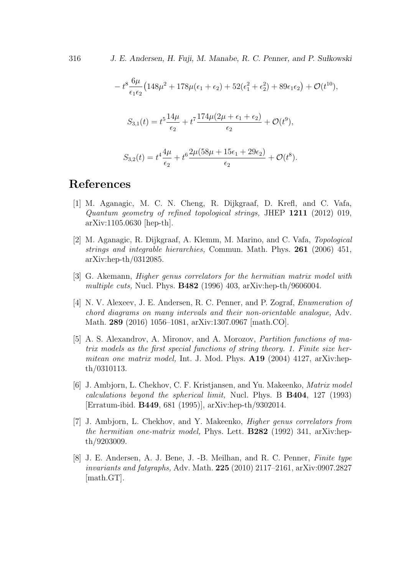316 *J. E. Andersen, H. Fuji, M. Manabe, R. C. Penner, and P. Su lkowski*

$$
-t^8 \frac{6\mu}{\epsilon_1 \epsilon_2} \left( 148\mu^2 + 178\mu(\epsilon_1 + \epsilon_2) + 52(\epsilon_1^2 + \epsilon_2^2) + 89\epsilon_1 \epsilon_2 \right) + \mathcal{O}(t^{10}),
$$
  

$$
S_{3,1}(t) = t^5 \frac{14\mu}{\epsilon_2} + t^7 \frac{174\mu(2\mu + \epsilon_1 + \epsilon_2)}{\epsilon_2} + \mathcal{O}(t^9),
$$
  

$$
S_{3,2}(t) = t^4 \frac{4\mu}{\epsilon_2} + t^6 \frac{2\mu(58\mu + 15\epsilon_1 + 29\epsilon_2)}{\epsilon_2} + \mathcal{O}(t^8).
$$

## **References**

- [1] M. Aganagic, M. C. N. Cheng, R. Dijkgraaf, D. Krefl, and C. Vafa, *Quantum geometry of refined topological strings,* JHEP **1211** (2012) 019, arXiv:1105.0630 [hep-th].
- [2] M. Aganagic, R. Dijkgraaf, A. Klemm, M. Marino, and C. Vafa, *Topological strings and integrable hierarchies,* Commun. Math. Phys. **261** (2006) 451, arXiv:hep-th/0312085.
- [3] G. Akemann, *Higher genus correlators for the hermitian matrix model with multiple cuts,* Nucl. Phys. **B482** (1996) 403, arXiv:hep-th/9606004.
- [4] N. V. Alexeev, J. E. Andersen, R. C. Penner, and P. Zograf, *Enumeration of chord diagrams on many intervals and their non-orientable analogue,* Adv. Math. **289** (2016) 1056–1081, arXiv:1307.0967 [math.CO].
- [5] A. S. Alexandrov, A. Mironov, and A. Morozov, *Partition functions of matrix models as the first special functions of string theory. 1. Finite size hermitean one matrix model,* Int. J. Mod. Phys. **A19** (2004) 4127, arXiv:hepth/0310113.
- [6] J. Ambjorn, L. Chekhov, C. F. Kristjansen, and Yu. Makeenko, *Matrix model calculations beyond the spherical limit,* Nucl. Phys. B **B404**, 127 (1993) [Erratum-ibid. **B449**, 681 (1995)], arXiv:hep-th/9302014.
- [7] J. Ambjorn, L. Chekhov, and Y. Makeenko, *Higher genus correlators from the hermitian one-matrix model,* Phys. Lett. **B282** (1992) 341, arXiv:hepth/9203009.
- [8] J. E. Andersen, A. J. Bene, J. -B. Meilhan, and R. C. Penner, *Finite type invariants and fatgraphs,* Adv. Math. **225** (2010) 2117–2161, arXiv:0907.2827 [math.GT].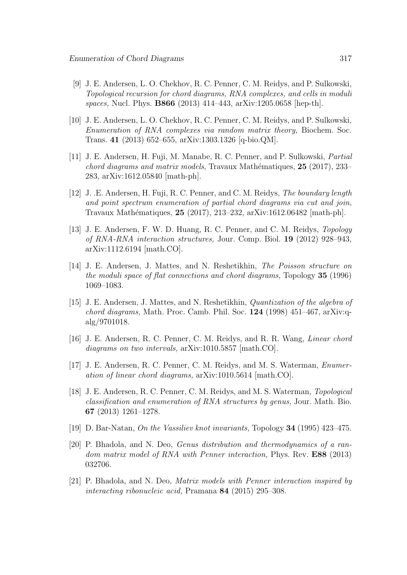- [9] J. E. Andersen, L. O. Chekhov, R. C. Penner, C. M. Reidys, and P. Sulkowski, *Topological recursion for chord diagrams, RNA complexes, and cells in moduli spaces,* Nucl. Phys. **B866** (2013) 414–443, arXiv:1205.0658 [hep-th].
- [10] J. E. Andersen, L. O. Chekhov, R. C. Penner, C. M. Reidys, and P. Sulkowski, *Enumeration of RNA complexes via random matrix theory,* Biochem. Soc. Trans. **41** (2013) 652–655, arXiv:1303.1326 [q-bio.QM].
- [11] J. E. Andersen, H. Fuji, M. Manabe, R. C. Penner, and P. Sulkowski, *Partial chord diagrams and matrix models*, Travaux Mathématiques, 25 (2017), 233– 283, arXiv:1612.05840 [math-ph].
- [12] J. .E. Andersen, H. Fuji, R. C. Penner, and C. M. Reidys, *The boundary length and point spectrum enumeration of partial chord diagrams via cut and join*, Travaux Mathématiques, 25 (2017), 213-232, arXiv:1612.06482 [math-ph].
- [13] J. E. Andersen, F. W. D. Huang, R. C. Penner, and C. M. Reidys, *Topology of RNA-RNA interaction structures,* Jour. Comp. Biol. **19** (2012) 928–943, arXiv:1112.6194 [math.CO].
- [14] J. E. Andersen, J. Mattes, and N. Reshetikhin, *The Poisson structure on the moduli space of flat connections and chord diagrams,* Topology **35** (1996) 1069–1083.
- [15] J. E. Andersen, J. Mattes, and N. Reshetikhin, *Quantization of the algebra of chord diagrams,* Math. Proc. Camb. Phil. Soc. **124** (1998) 451–467, arXiv:qalg/9701018.
- [16] J. E. Andersen, R. C. Penner, C. M. Reidys, and R. R. Wang, *Linear chord diagrams on two intervals,* arXiv:1010.5857 [math.CO].
- [17] J. E. Andersen, R. C. Penner, C. M. Reidys, and M. S. Waterman, *Enumeration of linear chord diagrams,* arXiv:1010.5614 [math.CO].
- [18] J. E. Andersen, R. C. Penner, C. M. Reidys, and M. S. Waterman, *Topological classification and enumeration of RNA structures by genus,* Jour. Math. Bio. **67** (2013) 1261–1278.
- [19] D. Bar-Natan, *On the Vassiliev knot invariants,* Topology **34** (1995) 423–475.
- [20] P. Bhadola, and N. Deo, *Genus distribution and thermodynamics of a random matrix model of RNA with Penner interaction,* Phys. Rev. **E88** (2013) 032706.
- [21] P. Bhadola, and N. Deo, *Matrix models with Penner interaction inspired by interacting ribonucleic acid,* Pramana **84** (2015) 295–308.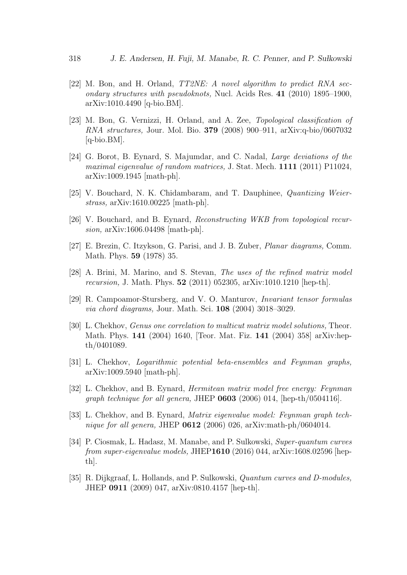- [22] M. Bon, and H. Orland, *TT2NE: A novel algorithm to predict RNA secondary structures with pseudoknots,* Nucl. Acids Res. **41** (2010) 1895–1900, arXiv:1010.4490 [q-bio.BM].
- [23] M. Bon, G. Vernizzi, H. Orland, and A. Zee, *Topological classification of RNA structures,* Jour. Mol. Bio. **379** (2008) 900–911, arXiv:q-bio/0607032 [q-bio.BM].
- [24] G. Borot, B. Eynard, S. Majumdar, and C. Nadal, *Large deviations of the maximal eigenvalue of random matrices,* J. Stat. Mech. **1111** (2011) P11024, arXiv:1009.1945 [math-ph].
- [25] V. Bouchard, N. K. Chidambaram, and T. Dauphinee, *Quantizing Weierstrass,* arXiv:1610.00225 [math-ph].
- [26] V. Bouchard, and B. Eynard, *Reconstructing WKB from topological recursion,* arXiv:1606.04498 [math-ph].
- [27] E. Brezin, C. Itzykson, G. Parisi, and J. B. Zuber, *Planar diagrams,* Comm. Math. Phys. **59** (1978) 35.
- [28] A. Brini, M. Marino, and S. Stevan, *The uses of the refined matrix model recursion,* J. Math. Phys. **52** (2011) 052305, arXiv:1010.1210 [hep-th].
- [29] R. Campoamor-Stursberg, and V. O. Manturov, *Invariant tensor formulas via chord diagrams,* Jour. Math. Sci. **108** (2004) 3018–3029.
- [30] L. Chekhov, *Genus one correlation to multicut matrix model solutions,* Theor. Math. Phys. **141** (2004) 1640, [Teor. Mat. Fiz. **141** (2004) 358] arXiv:hepth/0401089.
- [31] L. Chekhov, *Logarithmic potential beta-ensembles and Feynman graphs,* arXiv:1009.5940 [math-ph].
- [32] L. Chekhov, and B. Eynard, *Hermitean matrix model free energy: Feynman graph technique for all genera,* JHEP **0603** (2006) 014, [hep-th/0504116].
- [33] L. Chekhov, and B. Eynard, *Matrix eigenvalue model: Feynman graph technique for all genera,* JHEP **0612** (2006) 026, arXiv:math-ph/0604014.
- [34] P. Ciosmak, L. Hadasz, M. Manabe, and P. Sulkowski, *Super-quantum curves from super-eigenvalue models,* JHEP**1610** (2016) 044, arXiv:1608.02596 [hepth].
- [35] R. Dijkgraaf, L. Hollands, and P. Sulkowski, *Quantum curves and D-modules,* JHEP **0911** (2009) 047, arXiv:0810.4157 [hep-th].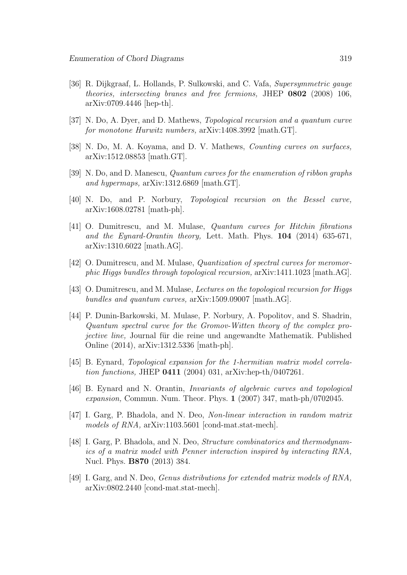- [36] R. Dijkgraaf, L. Hollands, P. Sulkowski, and C. Vafa, *Supersymmetric gauge theories, intersecting branes and free fermions,* JHEP **0802** (2008) 106, arXiv:0709.4446 [hep-th].
- [37] N. Do, A. Dyer, and D. Mathews, *Topological recursion and a quantum curve for monotone Hurwitz numbers,* arXiv:1408.3992 [math.GT].
- [38] N. Do, M. A. Koyama, and D. V. Mathews, *Counting curves on surfaces,* arXiv:1512.08853 [math.GT].
- [39] N. Do, and D. Manescu, *Quantum curves for the enumeration of ribbon graphs and hypermaps,* arXiv:1312.6869 [math.GT].
- [40] N. Do, and P. Norbury, *Topological recursion on the Bessel curve,* arXiv:1608.02781 [math-ph].
- [41] O. Dumitrescu, and M. Mulase, *Quantum curves for Hitchin fibrations and the Eynard-Orantin theory,* Lett. Math. Phys. **104** (2014) 635-671, arXiv:1310.6022 [math.AG].
- [42] O. Dumitrescu, and M. Mulase, *Quantization of spectral curves for meromorphic Higgs bundles through topological recursion,* arXiv:1411.1023 [math.AG].
- [43] O. Dumitrescu, and M. Mulase, *Lectures on the topological recursion for Higgs bundles and quantum curves,* arXiv:1509.09007 [math.AG].
- [44] P. Dunin-Barkowski, M. Mulase, P. Norbury, A. Popolitov, and S. Shadrin, *Quantum spectral curve for the Gromov-Witten theory of the complex projective line*, Journal für die reine und angewandte Mathematik. Published Online (2014), arXiv:1312.5336 [math-ph].
- [45] B. Eynard, *Topological expansion for the 1-hermitian matrix model correlation functions,* JHEP **0411** (2004) 031, arXiv:hep-th/0407261.
- [46] B. Eynard and N. Orantin, *Invariants of algebraic curves and topological expansion,* Commun. Num. Theor. Phys. **1** (2007) 347, math-ph/0702045.
- [47] I. Garg, P. Bhadola, and N. Deo, *Non-linear interaction in random matrix models of RNA,* arXiv:1103.5601 [cond-mat.stat-mech].
- [48] I. Garg, P. Bhadola, and N. Deo, *Structure combinatorics and thermodynamics of a matrix model with Penner interaction inspired by interacting RNA,* Nucl. Phys. **B870** (2013) 384.
- [49] I. Garg, and N. Deo, *Genus distributions for extended matrix models of RNA,* arXiv:0802.2440 [cond-mat.stat-mech].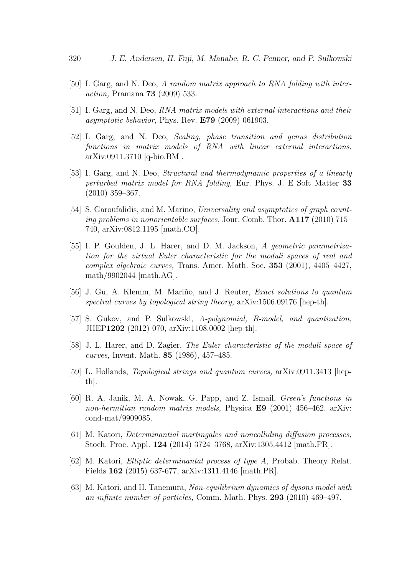- [50] I. Garg, and N. Deo, *A random matrix approach to RNA folding with interaction,* Pramana **73** (2009) 533.
- [51] I. Garg, and N. Deo, *RNA matrix models with external interactions and their asymptotic behavior,* Phys. Rev. **E79** (2009) 061903.
- [52] I. Garg, and N. Deo, *Scaling, phase transition and genus distribution functions in matrix models of RNA with linear external interactions,* arXiv:0911.3710 [q-bio.BM].
- [53] I. Garg, and N. Deo, *Structural and thermodynamic properties of a linearly perturbed matrix model for RNA folding,* Eur. Phys. J. E Soft Matter **33** (2010) 359–367.
- [54] S. Garoufalidis, and M. Marino, *Universality and asymptotics of graph counting problems in nonorientable surfaces,* Jour. Comb. Thor. **A117** (2010) 715– 740, arXiv:0812.1195 [math.CO].
- [55] I. P. Goulden, J. L. Harer, and D. M. Jackson, *A geometric parametrization for the virtual Euler characteristic for the moduli spaces of real and complex algebraic curves,* Trans. Amer. Math. Soc. **353** (2001), 4405–4427, math/9902044 [math.AG].
- [56] J. Gu, A. Klemm, M. Mariño, and J. Reuter, *Exact solutions to quantum spectral curves by topological string theory,* arXiv:1506.09176 [hep-th].
- [57] S. Gukov, and P. Sulkowski, *A-polynomial, B-model, and quantization,* JHEP**1202** (2012) 070, arXiv:1108.0002 [hep-th].
- [58] J. L. Harer, and D. Zagier, *The Euler characteristic of the moduli space of curves,* Invent. Math. **85** (1986), 457–485.
- [59] L. Hollands, *Topological strings and quantum curves,* arXiv:0911.3413 [hepth].
- [60] R. A. Janik, M. A. Nowak, G. Papp, and Z. Ismail, *Green's functions in non-hermitian random matrix models,* Physica **E9** (2001) 456–462, arXiv: cond-mat/9909085.
- [61] M. Katori, *Determinantial martingales and noncolliding diffusion processes,* Stoch. Proc. Appl. **124** (2014) 3724–3768, arXiv:1305.4412 [math.PR].
- [62] M. Katori, *Elliptic determinantal process of type A,* Probab. Theory Relat. Fields **162** (2015) 637-677, arXiv:1311.4146 [math.PR].
- [63] M. Katori, and H. Tanemura, *Non-equilibrium dynamics of dysons model with an infinite number of particles,* Comm. Math. Phys. **293** (2010) 469–497.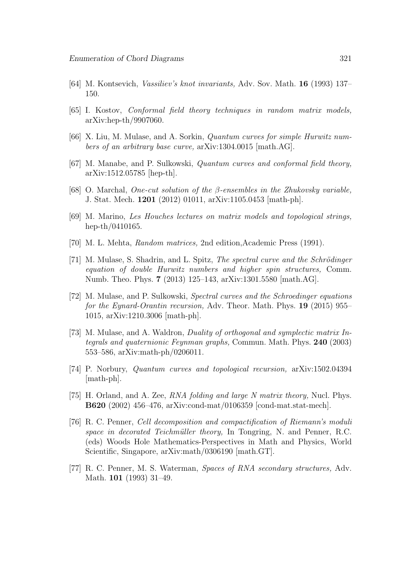- [64] M. Kontsevich, *Vassiliev's knot invariants,* Adv. Sov. Math. **16** (1993) 137– 150.
- [65] I. Kostov, *Conformal field theory techniques in random matrix models,* arXiv:hep-th/9907060.
- [66] X. Liu, M. Mulase, and A. Sorkin, *Quantum curves for simple Hurwitz numbers of an arbitrary base curve,* arXiv:1304.0015 [math.AG].
- [67] M. Manabe, and P. Sulkowski, *Quantum curves and conformal field theory,* arXiv:1512.05785 [hep-th].
- [68] O. Marchal, *One-cut solution of the β-ensembles in the Zhukovsky variable,* J. Stat. Mech. **1201** (2012) 01011, arXiv:1105.0453 [math-ph].
- [69] M. Marino, *Les Houches lectures on matrix models and topological strings,* hep-th/0410165.
- [70] M. L. Mehta, *Random matrices,* 2nd edition,Academic Press (1991).
- [71] M. Mulase, S. Shadrin, and L. Spitz, *The spectral curve and the Schrödinger equation of double Hurwitz numbers and higher spin structures,* Comm. Numb. Theo. Phys. **7** (2013) 125–143, arXiv:1301.5580 [math.AG].
- [72] M. Mulase, and P. Sulkowski, *Spectral curves and the Schroedinger equations for the Eynard-Orantin recursion,* Adv. Theor. Math. Phys. **19** (2015) 955– 1015, arXiv:1210.3006 [math-ph].
- [73] M. Mulase, and A. Waldron, *Duality of orthogonal and symplectic matrix Integrals and quaternionic Feynman graphs,* Commun. Math. Phys. **240** (2003) 553–586, arXiv:math-ph/0206011.
- [74] P. Norbury, *Quantum curves and topological recursion,* arXiv:1502.04394 [math-ph].
- [75] H. Orland, and A. Zee, *RNA folding and large N matrix theory,* Nucl. Phys. **B620** (2002) 456–476, arXiv:cond-mat/0106359 [cond-mat.stat-mech].
- [76] R. C. Penner, *Cell decomposition and compactification of Riemann's moduli space in decorated Teichm¨uller theory,* In Tongring, N. and Penner, R.C. (eds) Woods Hole Mathematics-Perspectives in Math and Physics, World Scientific, Singapore, arXiv:math/0306190 [math.GT].
- [77] R. C. Penner, M. S. Waterman, *Spaces of RNA secondary structures,* Adv. Math. **101** (1993) 31–49.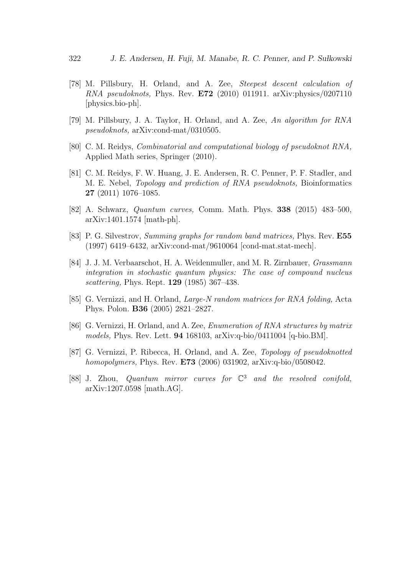- [78] M. Pillsbury, H. Orland, and A. Zee, *Steepest descent calculation of RNA pseudoknots,* Phys. Rev. **E72** (2010) 011911. arXiv:physics/0207110 [physics.bio-ph].
- [79] M. Pillsbury, J. A. Taylor, H. Orland, and A. Zee, *An algorithm for RNA pseudoknots,* arXiv:cond-mat/0310505.
- [80] C. M. Reidys, *Combinatorial and computational biology of pseudoknot RNA,* Applied Math series, Springer (2010).
- [81] C. M. Reidys, F. W. Huang, J. E. Andersen, R. C. Penner, P. F. Stadler, and M. E. Nebel, *Topology and prediction of RNA pseudoknots,* Bioinformatics **27** (2011) 1076–1085.
- [82] A. Schwarz, *Quantum curves,* Comm. Math. Phys. **338** (2015) 483–500, arXiv:1401.1574 [math-ph].
- [83] P. G. Silvestrov, *Summing graphs for random band matrices,* Phys. Rev. **E55** (1997) 6419–6432, arXiv:cond-mat/9610064 [cond-mat.stat-mech].
- [84] J. J. M. Verbaarschot, H. A. Weidenmuller, and M. R. Zirnbauer, *Grassmann integration in stochastic quantum physics: The case of compound nucleus scattering,* Phys. Rept. **129** (1985) 367–438.
- [85] G. Vernizzi, and H. Orland, *Large-N random matrices for RNA folding,* Acta Phys. Polon. **B36** (2005) 2821–2827.
- [86] G. Vernizzi, H. Orland, and A. Zee, *Enumeration of RNA structures by matrix models,* Phys. Rev. Lett. **94** 168103, arXiv:q-bio/0411004 [q-bio.BM].
- [87] G. Vernizzi, P. Ribecca, H. Orland, and A. Zee, *Topology of pseudoknotted homopolymers,* Phys. Rev. **E73** (2006) 031902, arXiv:q-bio/0508042.
- [88] J. Zhou, *Quantum mirror curves for* C <sup>3</sup> *and the resolved conifold,* arXiv:1207.0598 [math.AG].